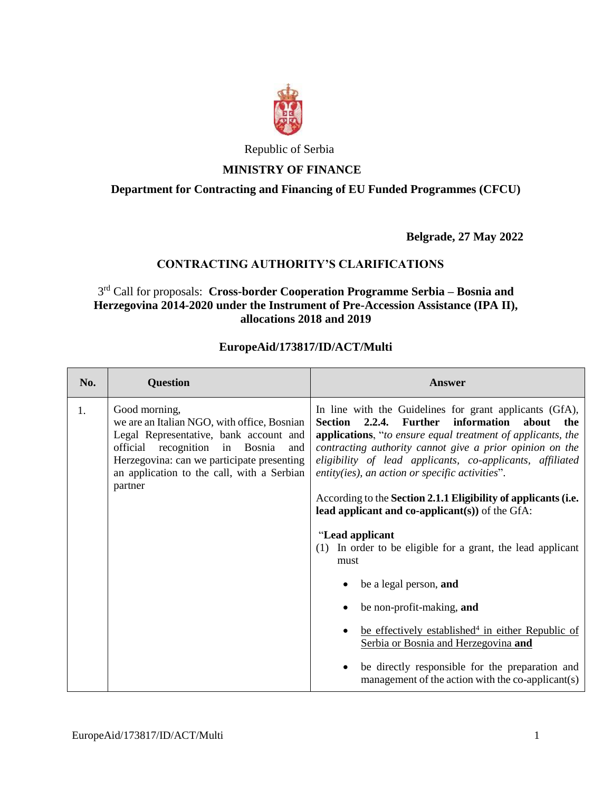

Republic of Serbia

## **MINISTRY OF FINANCE**

# **Department for Contracting and Financing of EU Funded Programmes (CFCU)**

**Belgrade, 27 May 2022**

# **CONTRACTING AUTHORITY'S CLARIFICATIONS**

## 3 rd Call for proposals: **Cross-border Cooperation Programme Serbia – Bosnia and Herzegovina 2014-2020 under the Instrument of Pre-Accession Assistance (IPA II), allocations 2018 and 2019**

#### **EuropeAid/173817/ID/ACT/Multi**

| No. | <b>Question</b>                                                                                                                                                                                                                                        | <b>Answer</b>                                                                                                                                                                                                                                                                                                                                                                                                                                                                                                                                                                                       |
|-----|--------------------------------------------------------------------------------------------------------------------------------------------------------------------------------------------------------------------------------------------------------|-----------------------------------------------------------------------------------------------------------------------------------------------------------------------------------------------------------------------------------------------------------------------------------------------------------------------------------------------------------------------------------------------------------------------------------------------------------------------------------------------------------------------------------------------------------------------------------------------------|
| 1.  | Good morning,<br>we are an Italian NGO, with office, Bosnian<br>Legal Representative, bank account and<br>official recognition in Bosnia<br>and<br>Herzegovina: can we participate presenting<br>an application to the call, with a Serbian<br>partner | In line with the Guidelines for grant applicants (GfA),<br>Further<br>2.2.4.<br>information<br>about<br><b>Section</b><br>the<br><b>applications,</b> "to ensure equal treatment of applicants, the<br>contracting authority cannot give a prior opinion on the<br>eligibility of lead applicants, co-applicants, affiliated<br>entity(ies), an action or specific activities".<br>According to the Section 2.1.1 Eligibility of applicants (i.e.<br>lead applicant and co-applicant $(s)$ ) of the GfA:<br>"Lead applicant"<br>(1) In order to be eligible for a grant, the lead applicant<br>must |
|     |                                                                                                                                                                                                                                                        | be a legal person, and                                                                                                                                                                                                                                                                                                                                                                                                                                                                                                                                                                              |
|     |                                                                                                                                                                                                                                                        | be non-profit-making, and                                                                                                                                                                                                                                                                                                                                                                                                                                                                                                                                                                           |
|     |                                                                                                                                                                                                                                                        | be effectively established <sup>4</sup> in either Republic of<br>Serbia or Bosnia and Herzegovina and                                                                                                                                                                                                                                                                                                                                                                                                                                                                                               |
|     |                                                                                                                                                                                                                                                        | be directly responsible for the preparation and<br>management of the action with the co-applicant(s)                                                                                                                                                                                                                                                                                                                                                                                                                                                                                                |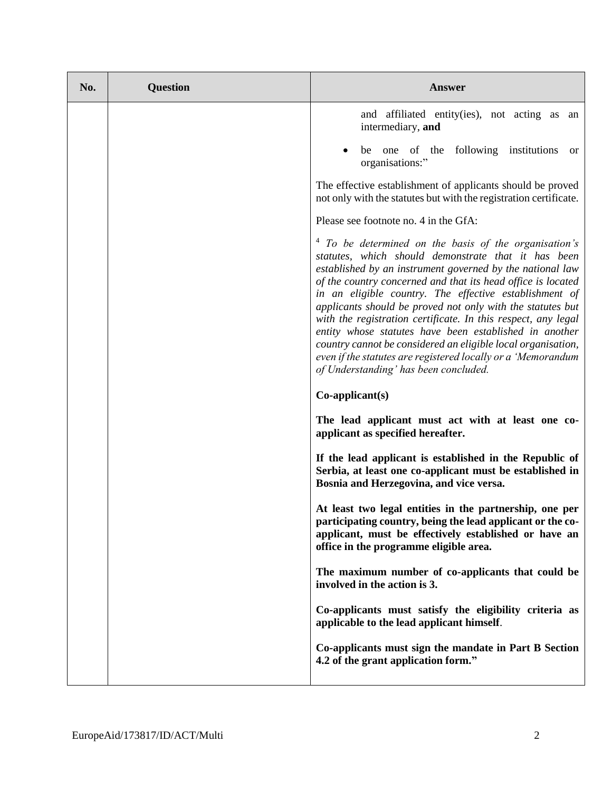| No. | <b>Question</b> | <b>Answer</b>                                                                                                                                                                                                                                                                                                                                                                                                                                                                                                                                                                                                                                                                    |
|-----|-----------------|----------------------------------------------------------------------------------------------------------------------------------------------------------------------------------------------------------------------------------------------------------------------------------------------------------------------------------------------------------------------------------------------------------------------------------------------------------------------------------------------------------------------------------------------------------------------------------------------------------------------------------------------------------------------------------|
|     |                 | and affiliated entity(ies), not acting as an<br>intermediary, and                                                                                                                                                                                                                                                                                                                                                                                                                                                                                                                                                                                                                |
|     |                 | be one of the following institutions<br>or<br>organisations:"                                                                                                                                                                                                                                                                                                                                                                                                                                                                                                                                                                                                                    |
|     |                 | The effective establishment of applicants should be proved<br>not only with the statutes but with the registration certificate.                                                                                                                                                                                                                                                                                                                                                                                                                                                                                                                                                  |
|     |                 | Please see footnote no. 4 in the GfA:                                                                                                                                                                                                                                                                                                                                                                                                                                                                                                                                                                                                                                            |
|     |                 | <sup>4</sup> To be determined on the basis of the organisation's<br>statutes, which should demonstrate that it has been<br>established by an instrument governed by the national law<br>of the country concerned and that its head office is located<br>in an eligible country. The effective establishment of<br>applicants should be proved not only with the statutes but<br>with the registration certificate. In this respect, any legal<br>entity whose statutes have been established in another<br>country cannot be considered an eligible local organisation,<br>even if the statutes are registered locally or a 'Memorandum<br>of Understanding' has been concluded. |
|     |                 | $Co\text{-}applicant(s)$                                                                                                                                                                                                                                                                                                                                                                                                                                                                                                                                                                                                                                                         |
|     |                 | The lead applicant must act with at least one co-<br>applicant as specified hereafter.                                                                                                                                                                                                                                                                                                                                                                                                                                                                                                                                                                                           |
|     |                 | If the lead applicant is established in the Republic of<br>Serbia, at least one co-applicant must be established in<br>Bosnia and Herzegovina, and vice versa.                                                                                                                                                                                                                                                                                                                                                                                                                                                                                                                   |
|     |                 | At least two legal entities in the partnership, one per<br>participating country, being the lead applicant or the co-<br>applicant, must be effectively established or have an<br>office in the programme eligible area.                                                                                                                                                                                                                                                                                                                                                                                                                                                         |
|     |                 | The maximum number of co-applicants that could be<br>involved in the action is 3.                                                                                                                                                                                                                                                                                                                                                                                                                                                                                                                                                                                                |
|     |                 | Co-applicants must satisfy the eligibility criteria as<br>applicable to the lead applicant himself.                                                                                                                                                                                                                                                                                                                                                                                                                                                                                                                                                                              |
|     |                 | Co-applicants must sign the mandate in Part B Section<br>4.2 of the grant application form."                                                                                                                                                                                                                                                                                                                                                                                                                                                                                                                                                                                     |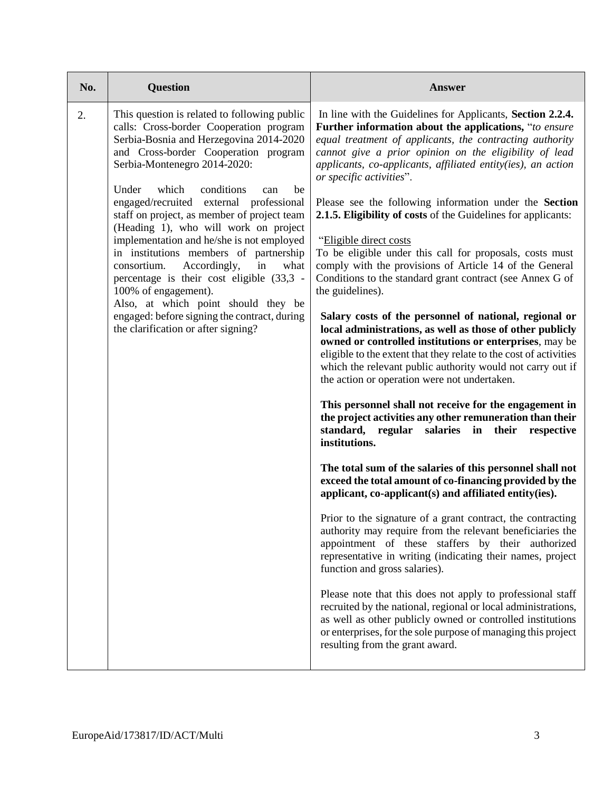| No. | <b>Question</b>                                                                                                                                                                                                                                                                                                                                                                                                                                                                                                                                                                                                                                                                                                                      | <b>Answer</b>                                                                                                                                                                                                                                                                                                                                                                                                                                                                                                                                                                                                                                                                                                                                                                                                                                                                                                                                                                                                                                                                                                                                                                                                                                                                                                                                                                                                                                                                                                                                                                                                                                                                                                                                                                                                                                                                                                                                                                                                  |
|-----|--------------------------------------------------------------------------------------------------------------------------------------------------------------------------------------------------------------------------------------------------------------------------------------------------------------------------------------------------------------------------------------------------------------------------------------------------------------------------------------------------------------------------------------------------------------------------------------------------------------------------------------------------------------------------------------------------------------------------------------|----------------------------------------------------------------------------------------------------------------------------------------------------------------------------------------------------------------------------------------------------------------------------------------------------------------------------------------------------------------------------------------------------------------------------------------------------------------------------------------------------------------------------------------------------------------------------------------------------------------------------------------------------------------------------------------------------------------------------------------------------------------------------------------------------------------------------------------------------------------------------------------------------------------------------------------------------------------------------------------------------------------------------------------------------------------------------------------------------------------------------------------------------------------------------------------------------------------------------------------------------------------------------------------------------------------------------------------------------------------------------------------------------------------------------------------------------------------------------------------------------------------------------------------------------------------------------------------------------------------------------------------------------------------------------------------------------------------------------------------------------------------------------------------------------------------------------------------------------------------------------------------------------------------------------------------------------------------------------------------------------------------|
| 2.  | This question is related to following public<br>calls: Cross-border Cooperation program<br>Serbia-Bosnia and Herzegovina 2014-2020<br>and Cross-border Cooperation program<br>Serbia-Montenegro 2014-2020:<br>Under<br>which<br>conditions<br>be<br>can<br>engaged/recruited external<br>professional<br>staff on project, as member of project team<br>(Heading 1), who will work on project<br>implementation and he/she is not employed<br>in institutions members of partnership<br>Accordingly,<br>consortium.<br>in<br>what<br>percentage is their cost eligible (33,3 -<br>100% of engagement).<br>Also, at which point should they be<br>engaged: before signing the contract, during<br>the clarification or after signing? | In line with the Guidelines for Applicants, Section 2.2.4.<br>Further information about the applications, "to ensure<br>equal treatment of applicants, the contracting authority<br>cannot give a prior opinion on the eligibility of lead<br>applicants, co-applicants, affiliated entity(ies), an action<br>or specific activities".<br>Please see the following information under the Section<br>2.1.5. Eligibility of costs of the Guidelines for applicants:<br>"Eligible direct costs"<br>To be eligible under this call for proposals, costs must<br>comply with the provisions of Article 14 of the General<br>Conditions to the standard grant contract (see Annex G of<br>the guidelines).<br>Salary costs of the personnel of national, regional or<br>local administrations, as well as those of other publicly<br>owned or controlled institutions or enterprises, may be<br>eligible to the extent that they relate to the cost of activities<br>which the relevant public authority would not carry out if<br>the action or operation were not undertaken.<br>This personnel shall not receive for the engagement in<br>the project activities any other remuneration than their<br>in<br>standard, regular<br>salaries<br>their<br>respective<br>institutions.<br>The total sum of the salaries of this personnel shall not<br>exceed the total amount of co-financing provided by the<br>applicant, co-applicant(s) and affiliated entity(ies).<br>Prior to the signature of a grant contract, the contracting<br>authority may require from the relevant beneficiaries the<br>appointment of these staffers by their authorized<br>representative in writing (indicating their names, project<br>function and gross salaries).<br>Please note that this does not apply to professional staff<br>recruited by the national, regional or local administrations,<br>as well as other publicly owned or controlled institutions<br>or enterprises, for the sole purpose of managing this project |
|     |                                                                                                                                                                                                                                                                                                                                                                                                                                                                                                                                                                                                                                                                                                                                      | resulting from the grant award.                                                                                                                                                                                                                                                                                                                                                                                                                                                                                                                                                                                                                                                                                                                                                                                                                                                                                                                                                                                                                                                                                                                                                                                                                                                                                                                                                                                                                                                                                                                                                                                                                                                                                                                                                                                                                                                                                                                                                                                |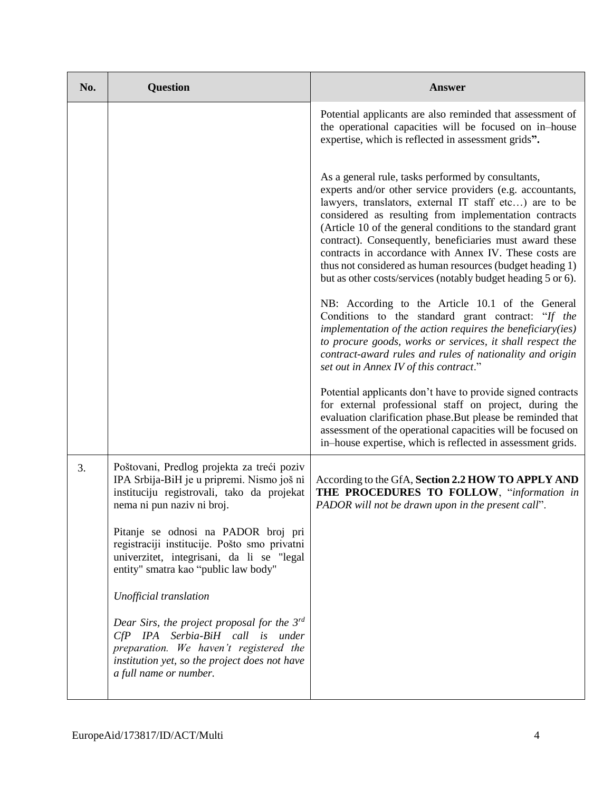| No. | <b>Question</b>                                                                                                                                                                                           | <b>Answer</b>                                                                                                                                                                                                                                                                                                                                                                                                                                                                                                                                                                                                                                                 |
|-----|-----------------------------------------------------------------------------------------------------------------------------------------------------------------------------------------------------------|---------------------------------------------------------------------------------------------------------------------------------------------------------------------------------------------------------------------------------------------------------------------------------------------------------------------------------------------------------------------------------------------------------------------------------------------------------------------------------------------------------------------------------------------------------------------------------------------------------------------------------------------------------------|
|     |                                                                                                                                                                                                           | Potential applicants are also reminded that assessment of<br>the operational capacities will be focused on in-house<br>expertise, which is reflected in assessment grids".                                                                                                                                                                                                                                                                                                                                                                                                                                                                                    |
|     |                                                                                                                                                                                                           | As a general rule, tasks performed by consultants,<br>experts and/or other service providers (e.g. accountants,<br>lawyers, translators, external IT staff etc) are to be<br>considered as resulting from implementation contracts<br>(Article 10 of the general conditions to the standard grant<br>contract). Consequently, beneficiaries must award these<br>contracts in accordance with Annex IV. These costs are<br>thus not considered as human resources (budget heading 1)<br>but as other costs/services (notably budget heading 5 or 6).<br>NB: According to the Article 10.1 of the General<br>Conditions to the standard grant contract: "If the |
|     |                                                                                                                                                                                                           | implementation of the action requires the beneficiary(ies)<br>to procure goods, works or services, it shall respect the<br>contract-award rules and rules of nationality and origin<br>set out in Annex IV of this contract."                                                                                                                                                                                                                                                                                                                                                                                                                                 |
|     |                                                                                                                                                                                                           | Potential applicants don't have to provide signed contracts<br>for external professional staff on project, during the<br>evaluation clarification phase.But please be reminded that<br>assessment of the operational capacities will be focused on<br>in-house expertise, which is reflected in assessment grids.                                                                                                                                                                                                                                                                                                                                             |
| 3.  | Poštovani, Predlog projekta za treći poziv<br>IPA Srbija-BiH je u pripremi. Nismo još ni<br>instituciju registrovali, tako da projekat<br>nema ni pun naziv ni broj.                                      | According to the GfA, Section 2.2 HOW TO APPLY AND<br>THE PROCEDURES TO FOLLOW, "information in<br>PADOR will not be drawn upon in the present call".                                                                                                                                                                                                                                                                                                                                                                                                                                                                                                         |
|     | Pitanje se odnosi na PADOR broj pri<br>registraciji institucije. Pošto smo privatni<br>univerzitet, integrisani, da li se "legal<br>entity" smatra kao "public law body"                                  |                                                                                                                                                                                                                                                                                                                                                                                                                                                                                                                                                                                                                                                               |
|     | Unofficial translation                                                                                                                                                                                    |                                                                                                                                                                                                                                                                                                                                                                                                                                                                                                                                                                                                                                                               |
|     | Dear Sirs, the project proposal for the $3^{rd}$<br>CfP IPA Serbia-BiH call is under<br>preparation. We haven't registered the<br>institution yet, so the project does not have<br>a full name or number. |                                                                                                                                                                                                                                                                                                                                                                                                                                                                                                                                                                                                                                                               |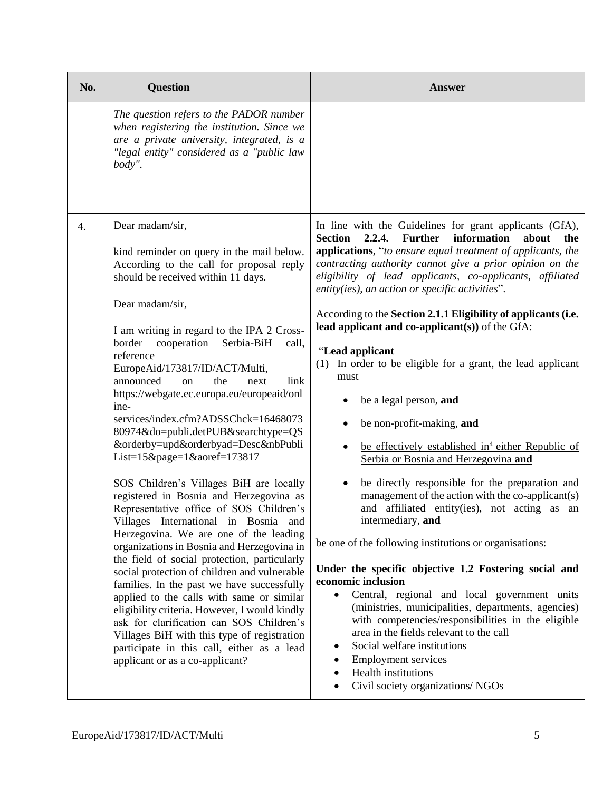| No. | <b>Question</b>                                                                                                                                                                                                                                                                                                                                                                                                                                                                                                                                                                                                                                                                                                                                                                                                                                                                                                                                                                                                                                                                                                                                                                                                                                                      | <b>Answer</b>                                                                                                                                                                                                                                                                                                                                                                                                                                                                                                                                                                                                                                                                                                                                                                                                                                                                                                                                                                                                                                                                                                                                                                                                                                                                                                                                                                                                                      |
|-----|----------------------------------------------------------------------------------------------------------------------------------------------------------------------------------------------------------------------------------------------------------------------------------------------------------------------------------------------------------------------------------------------------------------------------------------------------------------------------------------------------------------------------------------------------------------------------------------------------------------------------------------------------------------------------------------------------------------------------------------------------------------------------------------------------------------------------------------------------------------------------------------------------------------------------------------------------------------------------------------------------------------------------------------------------------------------------------------------------------------------------------------------------------------------------------------------------------------------------------------------------------------------|------------------------------------------------------------------------------------------------------------------------------------------------------------------------------------------------------------------------------------------------------------------------------------------------------------------------------------------------------------------------------------------------------------------------------------------------------------------------------------------------------------------------------------------------------------------------------------------------------------------------------------------------------------------------------------------------------------------------------------------------------------------------------------------------------------------------------------------------------------------------------------------------------------------------------------------------------------------------------------------------------------------------------------------------------------------------------------------------------------------------------------------------------------------------------------------------------------------------------------------------------------------------------------------------------------------------------------------------------------------------------------------------------------------------------------|
|     | The question refers to the PADOR number<br>when registering the institution. Since we<br>are a private university, integrated, is a<br>"legal entity" considered as a "public law<br>body".                                                                                                                                                                                                                                                                                                                                                                                                                                                                                                                                                                                                                                                                                                                                                                                                                                                                                                                                                                                                                                                                          |                                                                                                                                                                                                                                                                                                                                                                                                                                                                                                                                                                                                                                                                                                                                                                                                                                                                                                                                                                                                                                                                                                                                                                                                                                                                                                                                                                                                                                    |
| 4.  | Dear madam/sir,<br>kind reminder on query in the mail below.<br>According to the call for proposal reply<br>should be received within 11 days.<br>Dear madam/sir,<br>I am writing in regard to the IPA 2 Cross-<br>border<br>cooperation Serbia-BiH<br>call,<br>reference<br>EuropeAid/173817/ID/ACT/Multi,<br>the<br>announced<br>$\alpha$<br>link<br>next<br>https://webgate.ec.europa.eu/europeaid/onl<br>ine-<br>services/index.cfm?ADSSChck=16468073<br>80974&do=publi.detPUB&searchtype=QS<br>&orderby=upd&orderbyad=Desc&nbPubli<br>List= $15\&page=1\&aoref=173817$<br>SOS Children's Villages BiH are locally<br>registered in Bosnia and Herzegovina as<br>Representative office of SOS Children's<br>Villages International in Bosnia and<br>Herzegovina. We are one of the leading<br>organizations in Bosnia and Herzegovina in<br>the field of social protection, particularly<br>social protection of children and vulnerable<br>families. In the past we have successfully<br>applied to the calls with same or similar<br>eligibility criteria. However, I would kindly<br>ask for clarification can SOS Children's<br>Villages BiH with this type of registration<br>participate in this call, either as a lead<br>applicant or as a co-applicant? | In line with the Guidelines for grant applicants (GfA),<br><b>Further</b><br>2.2.4.<br>information<br><b>Section</b><br>about<br>the<br>applications, "to ensure equal treatment of applicants, the<br>contracting authority cannot give a prior opinion on the<br>eligibility of lead applicants, co-applicants, affiliated<br>entity(ies), an action or specific activities".<br>According to the Section 2.1.1 Eligibility of applicants (i.e.<br>lead applicant and co-applicant(s)) of the GfA:<br>"Lead applicant<br>In order to be eligible for a grant, the lead applicant<br>(1)<br>must<br>be a legal person, and<br>be non-profit-making, and<br>be effectively established in <sup>4</sup> either Republic of<br>Serbia or Bosnia and Herzegovina and<br>be directly responsible for the preparation and<br>management of the action with the co-applicant(s)<br>and affiliated entity(ies), not acting as an<br>intermediary, and<br>be one of the following institutions or organisations:<br>Under the specific objective 1.2 Fostering social and<br>economic inclusion<br>Central, regional and local government units<br>(ministries, municipalities, departments, agencies)<br>with competencies/responsibilities in the eligible<br>area in the fields relevant to the call<br>Social welfare institutions<br><b>Employment services</b><br>Health institutions<br>٠<br>Civil society organizations/ NGOs<br>٠ |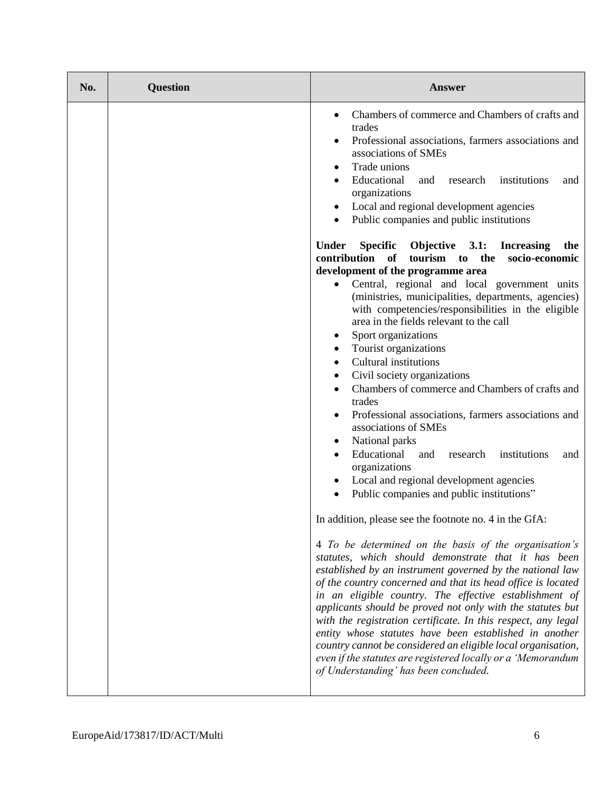| No. | <b>Question</b> | <b>Answer</b>                                                                                                                                                                                                                                                                                                                                                                                                                                                                                                                                                                                                                                                                                                                                                                                                                                                                                                                                                                                                                                                                                                                                                                                         |
|-----|-----------------|-------------------------------------------------------------------------------------------------------------------------------------------------------------------------------------------------------------------------------------------------------------------------------------------------------------------------------------------------------------------------------------------------------------------------------------------------------------------------------------------------------------------------------------------------------------------------------------------------------------------------------------------------------------------------------------------------------------------------------------------------------------------------------------------------------------------------------------------------------------------------------------------------------------------------------------------------------------------------------------------------------------------------------------------------------------------------------------------------------------------------------------------------------------------------------------------------------|
|     |                 | Chambers of commerce and Chambers of crafts and<br>trades<br>Professional associations, farmers associations and<br>associations of SMEs<br>Trade unions<br>Educational<br>research<br>and<br>institutions<br>and<br>organizations<br>Local and regional development agencies<br>٠<br>Public companies and public institutions<br>$\bullet$<br><b>Under</b><br>Objective 3.1:<br>Specific<br><b>Increasing</b><br>the<br>contribution<br>of<br>tourism to<br>the<br>socio-economic<br>development of the programme area<br>Central, regional and local government units<br>(ministries, municipalities, departments, agencies)<br>with competencies/responsibilities in the eligible<br>area in the fields relevant to the call<br>Sport organizations<br>Tourist organizations<br>٠<br><b>Cultural institutions</b><br>$\bullet$<br>Civil society organizations<br>٠<br>Chambers of commerce and Chambers of crafts and<br>trades<br>Professional associations, farmers associations and<br>associations of SMEs<br>National parks<br>Educational<br>and<br>institutions<br>research<br>and<br>organizations<br>Local and regional development agencies<br>Public companies and public institutions" |
|     |                 | In addition, please see the footnote no. 4 in the GfA:<br>4 To be determined on the basis of the organisation's<br>statutes, which should demonstrate that it has been<br>established by an instrument governed by the national law<br>of the country concerned and that its head office is located<br>in an eligible country. The effective establishment of<br>applicants should be proved not only with the statutes but<br>with the registration certificate. In this respect, any legal<br>entity whose statutes have been established in another<br>country cannot be considered an eligible local organisation,<br>even if the statutes are registered locally or a 'Memorandum<br>of Understanding' has been concluded.                                                                                                                                                                                                                                                                                                                                                                                                                                                                       |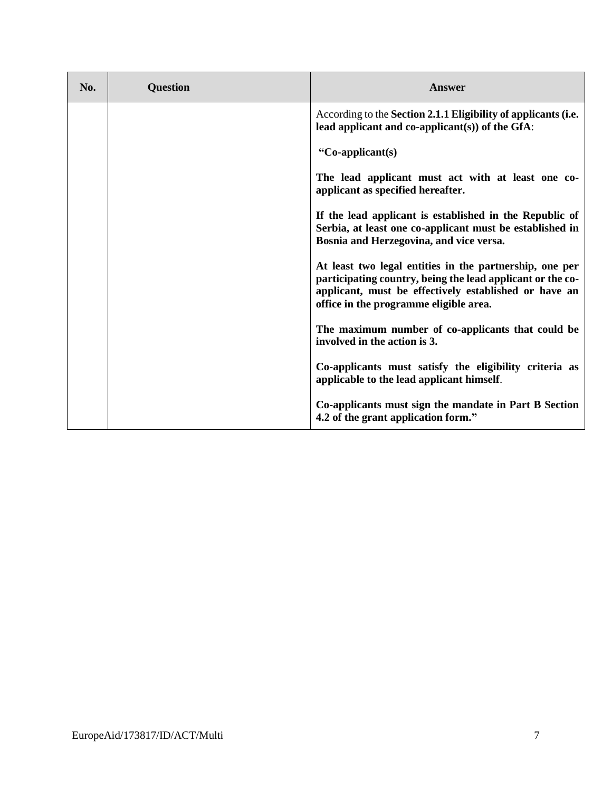| No. | <b>Question</b> | Answer                                                                                                                                                                                                                   |
|-----|-----------------|--------------------------------------------------------------------------------------------------------------------------------------------------------------------------------------------------------------------------|
|     |                 | According to the Section 2.1.1 Eligibility of applicants (i.e.<br>lead applicant and co-applicant $(s)$ ) of the GfA:                                                                                                    |
|     |                 | "Co-applicant(s)                                                                                                                                                                                                         |
|     |                 | The lead applicant must act with at least one co-<br>applicant as specified hereafter.                                                                                                                                   |
|     |                 | If the lead applicant is established in the Republic of<br>Serbia, at least one co-applicant must be established in<br>Bosnia and Herzegovina, and vice versa.                                                           |
|     |                 | At least two legal entities in the partnership, one per<br>participating country, being the lead applicant or the co-<br>applicant, must be effectively established or have an<br>office in the programme eligible area. |
|     |                 | The maximum number of co-applicants that could be<br>involved in the action is 3.                                                                                                                                        |
|     |                 | Co-applicants must satisfy the eligibility criteria as<br>applicable to the lead applicant himself.                                                                                                                      |
|     |                 | Co-applicants must sign the mandate in Part B Section<br>4.2 of the grant application form."                                                                                                                             |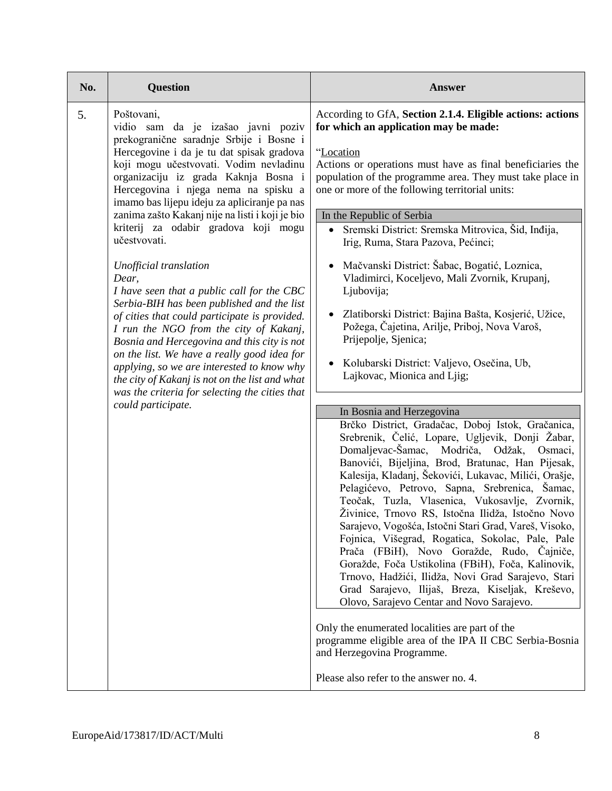| No. | <b>Question</b>                                                                                                                                                                                                                                                                                                                                                                                                                                                                                                                                                                                                                                                                                                                                                                                                                                                                                                               | Answer                                                                                                                                                                                                                                                                                                                                                                                                                                                                                                                                                                                                                                                                                                                                                                                                                                                                                                                                                                                                                                                                                                                                                                                                                                                                                                                                                                                                                                                                                                                                                                                                                                                                                                                                                                    |
|-----|-------------------------------------------------------------------------------------------------------------------------------------------------------------------------------------------------------------------------------------------------------------------------------------------------------------------------------------------------------------------------------------------------------------------------------------------------------------------------------------------------------------------------------------------------------------------------------------------------------------------------------------------------------------------------------------------------------------------------------------------------------------------------------------------------------------------------------------------------------------------------------------------------------------------------------|---------------------------------------------------------------------------------------------------------------------------------------------------------------------------------------------------------------------------------------------------------------------------------------------------------------------------------------------------------------------------------------------------------------------------------------------------------------------------------------------------------------------------------------------------------------------------------------------------------------------------------------------------------------------------------------------------------------------------------------------------------------------------------------------------------------------------------------------------------------------------------------------------------------------------------------------------------------------------------------------------------------------------------------------------------------------------------------------------------------------------------------------------------------------------------------------------------------------------------------------------------------------------------------------------------------------------------------------------------------------------------------------------------------------------------------------------------------------------------------------------------------------------------------------------------------------------------------------------------------------------------------------------------------------------------------------------------------------------------------------------------------------------|
| 5.  | Poštovani,<br>vidio sam da je izašao javni poziv<br>prekogranične saradnje Srbije i Bosne i<br>Hercegovine i da je tu dat spisak gradova<br>koji mogu učestvovati. Vodim nevladinu<br>organizaciju iz grada Kaknja Bosna i<br>Hercegovina i njega nema na spisku a<br>imamo bas lijepu ideju za apliciranje pa nas<br>zanima zašto Kakanj nije na listi i koji je bio<br>kriterij za odabir gradova koji mogu<br>učestvovati.<br>Unofficial translation<br>Dear,<br>I have seen that a public call for the CBC<br>Serbia-BIH has been published and the list<br>of cities that could participate is provided.<br>I run the NGO from the city of Kakanj,<br>Bosnia and Hercegovina and this city is not<br>on the list. We have a really good idea for<br>applying, so we are interested to know why<br>the city of Kakanj is not on the list and what<br>was the criteria for selecting the cities that<br>could participate. | According to GfA, Section 2.1.4. Eligible actions: actions<br>for which an application may be made:<br>"Location<br>Actions or operations must have as final beneficiaries the<br>population of the programme area. They must take place in<br>one or more of the following territorial units:<br>In the Republic of Serbia<br>Sremski District: Sremska Mitrovica, Šid, Inđija,<br>Irig, Ruma, Stara Pazova, Pećinci;<br>Mačvanski District: Šabac, Bogatić, Loznica,<br>Vladimirci, Koceljevo, Mali Zvornik, Krupanj,<br>Ljubovija;<br>Zlatiborski District: Bajina Bašta, Kosjerić, Užice,<br>Požega, Čajetina, Arilje, Priboj, Nova Varoš,<br>Prijepolje, Sjenica;<br>Kolubarski District: Valjevo, Osečina, Ub,<br>Lajkovac, Mionica and Ljig;<br>In Bosnia and Herzegovina<br>Brčko District, Gradačac, Doboj Istok, Gračanica,<br>Srebrenik, Čelić, Lopare, Ugljevik, Donji Žabar,<br>Domaljevac-Šamac, Modriča, Odžak, Osmaci,<br>Banovići, Bijeljina, Brod, Bratunac, Han Pijesak,<br>Kalesija, Kladanj, Šekovići, Lukavac, Milići, Orašje,<br>Pelagićevo, Petrovo, Sapna, Srebrenica, Šamac,<br>Teočak, Tuzla, Vlasenica, Vukosavlje, Zvornik,<br>Živinice, Trnovo RS, Istočna Ilidža, Istočno Novo<br>Sarajevo, Vogošća, Istočni Stari Grad, Vareš, Visoko,<br>Fojnica, Višegrad, Rogatica, Sokolac, Pale, Pale<br>Prača (FBiH), Novo Goražde, Rudo, Čajniče,<br>Goražde, Foča Ustikolina (FBiH), Foča, Kalinovik,<br>Trnovo, Hadžići, Ilidža, Novi Grad Sarajevo, Stari<br>Grad Sarajevo, Ilijaš, Breza, Kiseljak, Kreševo,<br>Olovo, Sarajevo Centar and Novo Sarajevo.<br>Only the enumerated localities are part of the<br>programme eligible area of the IPA II CBC Serbia-Bosnia<br>and Herzegovina Programme.<br>Please also refer to the answer no. 4. |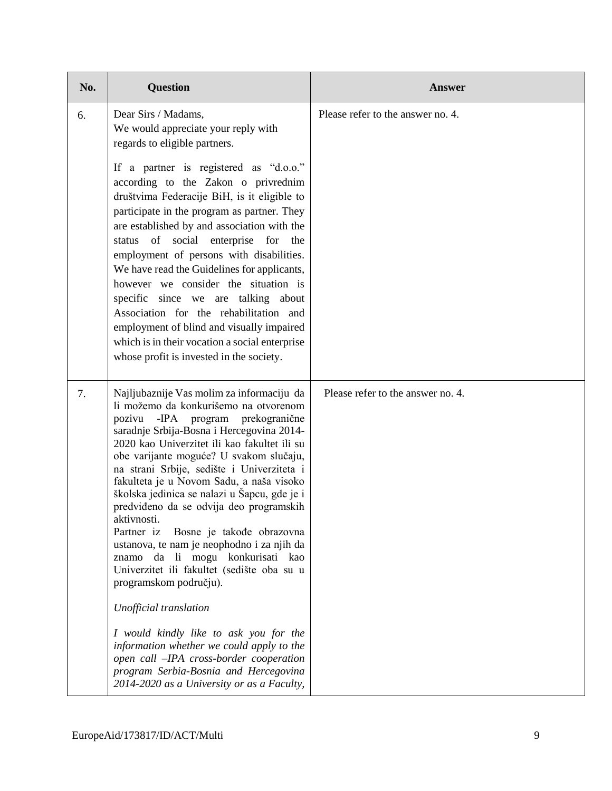| No. | <b>Question</b>                                                                                                                                                                                                                                                                                                                                                                                                                                                                                                                                                                                                                                                                                                                                                                                                                                                                                                              | <b>Answer</b>                     |
|-----|------------------------------------------------------------------------------------------------------------------------------------------------------------------------------------------------------------------------------------------------------------------------------------------------------------------------------------------------------------------------------------------------------------------------------------------------------------------------------------------------------------------------------------------------------------------------------------------------------------------------------------------------------------------------------------------------------------------------------------------------------------------------------------------------------------------------------------------------------------------------------------------------------------------------------|-----------------------------------|
| 6.  | Dear Sirs / Madams,<br>We would appreciate your reply with<br>regards to eligible partners.                                                                                                                                                                                                                                                                                                                                                                                                                                                                                                                                                                                                                                                                                                                                                                                                                                  | Please refer to the answer no. 4. |
|     | If a partner is registered as "d.o.o."<br>according to the Zakon o privrednim<br>društvima Federacije BiH, is it eligible to<br>participate in the program as partner. They<br>are established by and association with the<br>status of social enterprise for the<br>employment of persons with disabilities.<br>We have read the Guidelines for applicants,<br>however we consider the situation is<br>specific since we are talking about<br>Association for the rehabilitation and<br>employment of blind and visually impaired<br>which is in their vocation a social enterprise<br>whose profit is invested in the society.                                                                                                                                                                                                                                                                                             |                                   |
| 7.  | Najljubaznije Vas molim za informaciju da<br>li možemo da konkurišemo na otvorenom<br>pozivu - IPA program prekogranične<br>saradnje Srbija-Bosna i Hercegovina 2014-<br>2020 kao Univerzitet ili kao fakultet ili su<br>obe varijante moguće? U svakom slučaju,<br>na strani Srbije, sedište i Univerziteta i<br>fakulteta je u Novom Sadu, a naša visoko<br>školska jedinica se nalazi u Šapcu, gde je i<br>predviđeno da se odvija deo programskih<br>aktivnosti.<br>Partner iz<br>Bosne je takođe obrazovna<br>ustanova, te nam je neophodno i za njih da<br>znamo da li mogu konkurisati kao<br>Univerzitet ili fakultet (sedište oba su u<br>programskom području).<br>Unofficial translation<br>I would kindly like to ask you for the<br>information whether we could apply to the<br>open call -IPA cross-border cooperation<br>program Serbia-Bosnia and Hercegovina<br>2014-2020 as a University or as a Faculty, | Please refer to the answer no. 4. |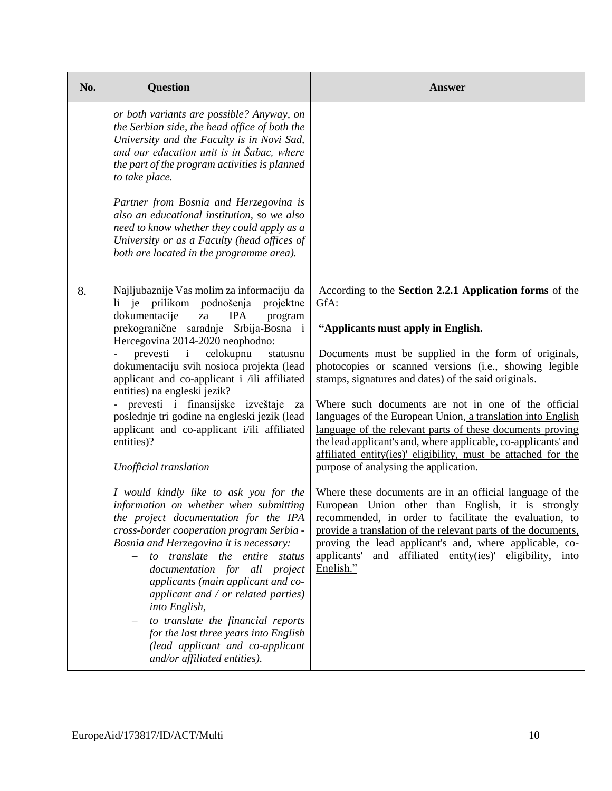| No. | <b>Question</b>                                                                                                                                                                                                                                                                                                                                                                                                                                                                                                                                                                            | <b>Answer</b>                                                                                                                                                                                                                                                                                                                                                                                                                                                                                                                                                                                                                                  |
|-----|--------------------------------------------------------------------------------------------------------------------------------------------------------------------------------------------------------------------------------------------------------------------------------------------------------------------------------------------------------------------------------------------------------------------------------------------------------------------------------------------------------------------------------------------------------------------------------------------|------------------------------------------------------------------------------------------------------------------------------------------------------------------------------------------------------------------------------------------------------------------------------------------------------------------------------------------------------------------------------------------------------------------------------------------------------------------------------------------------------------------------------------------------------------------------------------------------------------------------------------------------|
|     | or both variants are possible? Anyway, on<br>the Serbian side, the head office of both the<br>University and the Faculty is in Novi Sad,<br>and our education unit is in Sabac, where<br>the part of the program activities is planned<br>to take place.<br>Partner from Bosnia and Herzegovina is<br>also an educational institution, so we also<br>need to know whether they could apply as a<br>University or as a Faculty (head offices of<br>both are located in the programme area).                                                                                                 |                                                                                                                                                                                                                                                                                                                                                                                                                                                                                                                                                                                                                                                |
| 8.  | Najljubaznije Vas molim za informaciju da<br>prilikom podnošenja<br>$li$ je<br>projektne<br>dokumentacije<br>za<br><b>IPA</b><br>program<br>prekogranične saradnje Srbija-Bosna i<br>Hercegovina 2014-2020 neophodno:<br>celokupnu<br>prevesti<br>$\mathbf{i}$<br>statusnu<br>dokumentaciju svih nosioca projekta (lead<br>applicant and co-applicant i /ili affiliated<br>entities) na engleski jezik?<br>- prevesti i finansijske izveštaje<br>za<br>poslednje tri godine na engleski jezik (lead<br>applicant and co-applicant i/ili affiliated<br>entities)?<br>Unofficial translation | According to the Section 2.2.1 Application forms of the<br>GfA:<br>"Applicants must apply in English.<br>Documents must be supplied in the form of originals,<br>photocopies or scanned versions (i.e., showing legible<br>stamps, signatures and dates) of the said originals.<br>Where such documents are not in one of the official<br>languages of the European Union, a translation into English<br>language of the relevant parts of these documents proving<br>the lead applicant's and, where applicable, co-applicants' and<br>affiliated entity(ies)' eligibility, must be attached for the<br>purpose of analysing the application. |
|     | I would kindly like to ask you for the<br>information on whether when submitting<br>the project documentation for the IPA<br>cross-border cooperation program Serbia -<br>Bosnia and Herzegovina it is necessary:<br>to translate the entire status<br>$\qquad \qquad -$<br>documentation for all project<br>applicants (main applicant and co-<br>applicant and / or related parties)<br>into English,<br>to translate the financial reports<br>for the last three years into English<br>(lead applicant and co-applicant<br>and/or affiliated entities).                                 | Where these documents are in an official language of the<br>European Union other than English, it is strongly<br>recommended, in order to facilitate the evaluation, to<br>provide a translation of the relevant parts of the documents,<br>proving the lead applicant's and, where applicable, co-<br>applicants'<br>affiliated entity(ies)' eligibility, into<br>and<br>English."                                                                                                                                                                                                                                                            |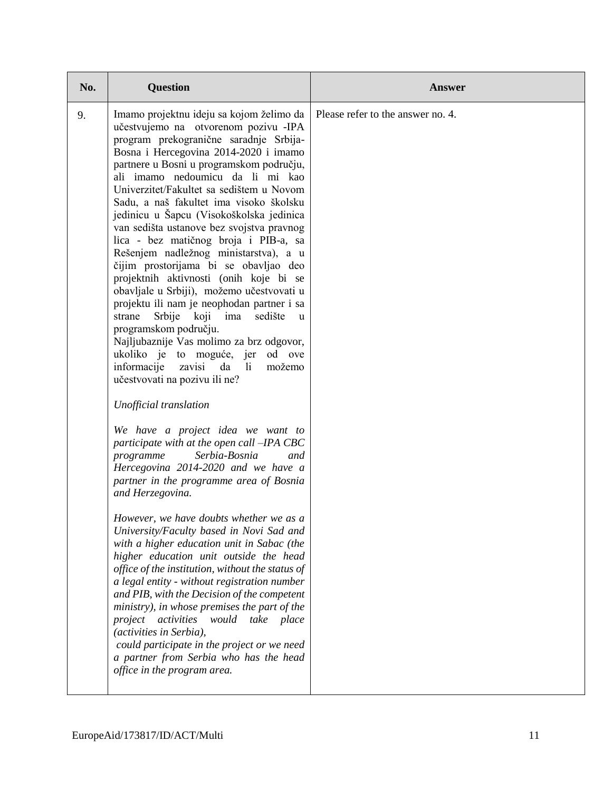| No. | <b>Question</b>                                                                                                                                                                                                                                                                                                                                                                                                                                                                                                                                                                                                                                                                                                                                                                                                                                                                                                                                                                                                                                                                                                                                                                                                                                                                                                                                                                                                                                                                                                                                                                                                                                                                                                                                                                               | <b>Answer</b>                     |
|-----|-----------------------------------------------------------------------------------------------------------------------------------------------------------------------------------------------------------------------------------------------------------------------------------------------------------------------------------------------------------------------------------------------------------------------------------------------------------------------------------------------------------------------------------------------------------------------------------------------------------------------------------------------------------------------------------------------------------------------------------------------------------------------------------------------------------------------------------------------------------------------------------------------------------------------------------------------------------------------------------------------------------------------------------------------------------------------------------------------------------------------------------------------------------------------------------------------------------------------------------------------------------------------------------------------------------------------------------------------------------------------------------------------------------------------------------------------------------------------------------------------------------------------------------------------------------------------------------------------------------------------------------------------------------------------------------------------------------------------------------------------------------------------------------------------|-----------------------------------|
| 9.  | Imamo projektnu ideju sa kojom želimo da<br>učestvujemo na otvorenom pozivu -IPA<br>program prekogranične saradnje Srbija-<br>Bosna i Hercegovina 2014-2020 i imamo<br>partnere u Bosni u programskom području,<br>ali imamo nedoumicu da li mi kao<br>Univerzitet/Fakultet sa sedištem u Novom<br>Sadu, a naš fakultet ima visoko školsku<br>jedinicu u Šapcu (Visokoškolska jedinica<br>van sedišta ustanove bez svojstva pravnog<br>lica - bez matičnog broja i PIB-a, sa<br>Rešenjem nadležnog ministarstva), a u<br>čijim prostorijama bi se obavljao deo<br>projektnih aktivnosti (onih koje bi se<br>obavljale u Srbiji), možemo učestvovati u<br>projektu ili nam je neophodan partner i sa<br>Srbije koji ima sedište<br>strane<br>u.<br>programskom području.<br>Najljubaznije Vas molimo za brz odgovor,<br>ukoliko je to moguće, jer od ove<br>informacije<br>zavisi<br>da<br>- li<br>možemo<br>učestvovati na pozivu ili ne?<br>Unofficial translation<br>We have a project idea we want to<br>participate with at the open call -IPA CBC<br>programme<br>Serbia-Bosnia<br>and<br>Hercegovina 2014-2020 and we have a<br>partner in the programme area of Bosnia<br>and Herzegovina.<br>However, we have doubts whether we as a<br>University/Faculty based in Novi Sad and<br>with a higher education unit in Sabac (the<br>higher education unit outside the head<br>office of the institution, without the status of<br>a legal entity - without registration number<br>and PIB, with the Decision of the competent<br>ministry), in whose premises the part of the<br>project<br>activities<br>would take<br>place<br><i>(activities in Serbia),</i><br>could participate in the project or we need<br>a partner from Serbia who has the head<br>office in the program area. | Please refer to the answer no. 4. |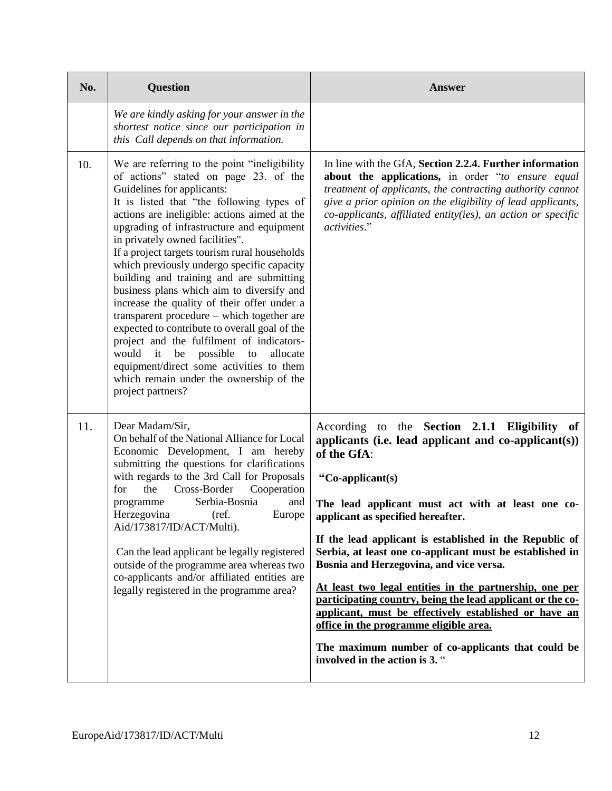| No. | <b>Question</b>                                                                                                                                                                                                                                                                                                                                                                                                                                                                                                                                                                                                                                                                                                                                                                                                                                  | <b>Answer</b>                                                                                                                                                                                                                                                                                                                                                                                                                                                                                                                                                                                                                                                                                                                     |
|-----|--------------------------------------------------------------------------------------------------------------------------------------------------------------------------------------------------------------------------------------------------------------------------------------------------------------------------------------------------------------------------------------------------------------------------------------------------------------------------------------------------------------------------------------------------------------------------------------------------------------------------------------------------------------------------------------------------------------------------------------------------------------------------------------------------------------------------------------------------|-----------------------------------------------------------------------------------------------------------------------------------------------------------------------------------------------------------------------------------------------------------------------------------------------------------------------------------------------------------------------------------------------------------------------------------------------------------------------------------------------------------------------------------------------------------------------------------------------------------------------------------------------------------------------------------------------------------------------------------|
|     | We are kindly asking for your answer in the<br>shortest notice since our participation in<br>this Call depends on that information.                                                                                                                                                                                                                                                                                                                                                                                                                                                                                                                                                                                                                                                                                                              |                                                                                                                                                                                                                                                                                                                                                                                                                                                                                                                                                                                                                                                                                                                                   |
| 10. | We are referring to the point "ineligibility"<br>of actions" stated on page 23. of the<br>Guidelines for applicants:<br>It is listed that "the following types of<br>actions are ineligible: actions aimed at the<br>upgrading of infrastructure and equipment<br>in privately owned facilities".<br>If a project targets tourism rural households<br>which previously undergo specific capacity<br>building and training and are submitting<br>business plans which aim to diversify and<br>increase the quality of their offer under a<br>transparent procedure – which together are<br>expected to contribute to overall goal of the<br>project and the fulfilment of indicators-<br>would<br>it be<br>possible<br>allocate<br>to<br>equipment/direct some activities to them<br>which remain under the ownership of the<br>project partners? | In line with the GfA, Section 2.2.4. Further information<br>about the applications, in order "to ensure equal<br>treatment of applicants, the contracting authority cannot<br>give a prior opinion on the eligibility of lead applicants,<br>co-applicants, affiliated entity(ies), an action or specific<br>activities."                                                                                                                                                                                                                                                                                                                                                                                                         |
| 11. | Dear Madam/Sir,<br>On behalf of the National Alliance for Local<br>Economic Development, I am hereby<br>submitting the questions for clarifications<br>with regards to the 3rd Call for Proposals<br>Cross-Border<br>for<br>the<br>Cooperation<br>Serbia-Bosnia<br>programme<br>and<br>Herzegovina<br>(ref.<br>Europe<br>Aid/173817/ID/ACT/Multi).<br>Can the lead applicant be legally registered<br>outside of the programme area whereas two<br>co-applicants and/or affiliated entities are<br>legally registered in the programme area?                                                                                                                                                                                                                                                                                                     | According to the Section 2.1.1 Eligibility of<br>applicants (i.e. lead applicant and $co\text{-}applicant(s)$ )<br>of the GfA:<br>"Co-applicant(s)<br>The lead applicant must act with at least one co-<br>applicant as specified hereafter.<br>If the lead applicant is established in the Republic of<br>Serbia, at least one co-applicant must be established in<br>Bosnia and Herzegovina, and vice versa.<br>At least two legal entities in the partnership, one per<br>participating country, being the lead applicant or the co-<br>applicant, must be effectively established or have an<br>office in the programme eligible area.<br>The maximum number of co-applicants that could be<br>involved in the action is 3. " |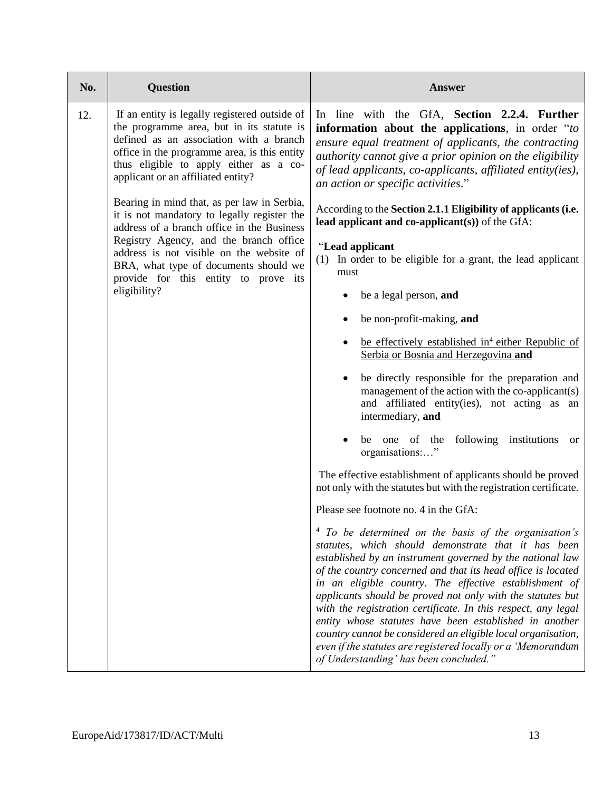| No. | <b>Question</b>                                                                                                                                                                                                                                                                                                 | <b>Answer</b>                                                                                                                                                                                                                                                                                                                                                                                                                                                                                                                                                                                                                                                        |
|-----|-----------------------------------------------------------------------------------------------------------------------------------------------------------------------------------------------------------------------------------------------------------------------------------------------------------------|----------------------------------------------------------------------------------------------------------------------------------------------------------------------------------------------------------------------------------------------------------------------------------------------------------------------------------------------------------------------------------------------------------------------------------------------------------------------------------------------------------------------------------------------------------------------------------------------------------------------------------------------------------------------|
| 12. | If an entity is legally registered outside of<br>the programme area, but in its statute is<br>defined as an association with a branch<br>office in the programme area, is this entity<br>thus eligible to apply either as a co-<br>applicant or an affiliated entity?                                           | In line with the GfA, Section 2.2.4. Further<br>information about the applications, in order "to<br>ensure equal treatment of applicants, the contracting<br>authority cannot give a prior opinion on the eligibility<br>of lead applicants, co-applicants, affiliated entity(ies),<br>an action or specific activities."                                                                                                                                                                                                                                                                                                                                            |
|     | Bearing in mind that, as per law in Serbia,<br>it is not mandatory to legally register the<br>address of a branch office in the Business<br>Registry Agency, and the branch office<br>address is not visible on the website of<br>BRA, what type of documents should we<br>provide for this entity to prove its | According to the Section 2.1.1 Eligibility of applicants (i.e.<br>lead applicant and co-applicant(s)) of the $GfA$ :                                                                                                                                                                                                                                                                                                                                                                                                                                                                                                                                                 |
|     |                                                                                                                                                                                                                                                                                                                 | "Lead applicant<br>(1) In order to be eligible for a grant, the lead applicant<br>must                                                                                                                                                                                                                                                                                                                                                                                                                                                                                                                                                                               |
|     | eligibility?                                                                                                                                                                                                                                                                                                    | be a legal person, and                                                                                                                                                                                                                                                                                                                                                                                                                                                                                                                                                                                                                                               |
|     |                                                                                                                                                                                                                                                                                                                 | be non-profit-making, and                                                                                                                                                                                                                                                                                                                                                                                                                                                                                                                                                                                                                                            |
|     |                                                                                                                                                                                                                                                                                                                 | be effectively established in <sup>4</sup> either Republic of<br>Serbia or Bosnia and Herzegovina and                                                                                                                                                                                                                                                                                                                                                                                                                                                                                                                                                                |
|     |                                                                                                                                                                                                                                                                                                                 | be directly responsible for the preparation and<br>management of the action with the co-applicant(s)<br>and affiliated entity(ies), not acting as an<br>intermediary, and                                                                                                                                                                                                                                                                                                                                                                                                                                                                                            |
|     |                                                                                                                                                                                                                                                                                                                 | be one of the following institutions<br><sub>or</sub><br>organisations:"                                                                                                                                                                                                                                                                                                                                                                                                                                                                                                                                                                                             |
|     |                                                                                                                                                                                                                                                                                                                 | The effective establishment of applicants should be proved<br>not only with the statutes but with the registration certificate.                                                                                                                                                                                                                                                                                                                                                                                                                                                                                                                                      |
|     |                                                                                                                                                                                                                                                                                                                 | Please see footnote no. 4 in the GfA:                                                                                                                                                                                                                                                                                                                                                                                                                                                                                                                                                                                                                                |
|     |                                                                                                                                                                                                                                                                                                                 | To be determined on the basis of the organisation's<br>statutes, which should demonstrate that it has been<br>established by an instrument governed by the national law<br>of the country concerned and that its head office is located<br>in an eligible country. The effective establishment of<br>applicants should be proved not only with the statutes but<br>with the registration certificate. In this respect, any legal<br>entity whose statutes have been established in another<br>country cannot be considered an eligible local organisation,<br>even if the statutes are registered locally or a 'Memorandum<br>of Understanding' has been concluded." |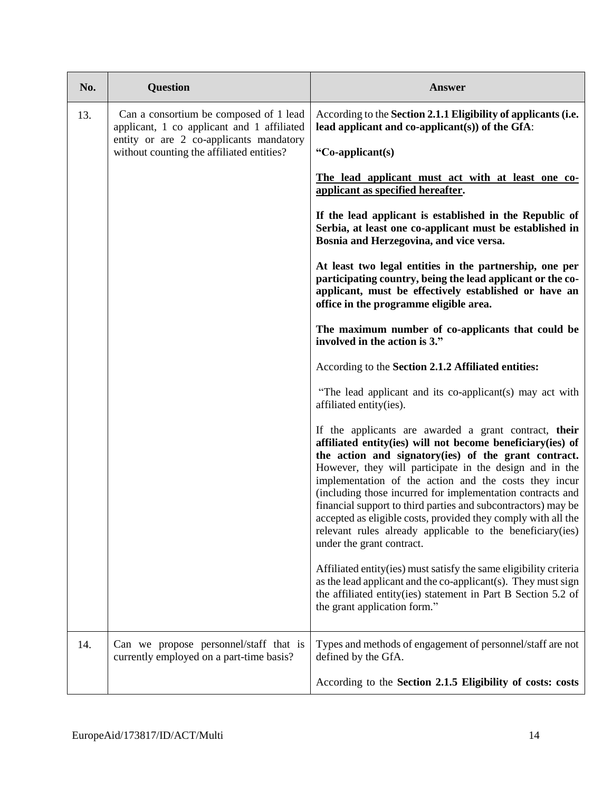| No. | <b>Question</b>                                                                      | <b>Answer</b>                                                                                                                                                                                                                                                                                                                                                                                                                                                                                                                                                                              |
|-----|--------------------------------------------------------------------------------------|--------------------------------------------------------------------------------------------------------------------------------------------------------------------------------------------------------------------------------------------------------------------------------------------------------------------------------------------------------------------------------------------------------------------------------------------------------------------------------------------------------------------------------------------------------------------------------------------|
| 13. | Can a consortium be composed of 1 lead<br>applicant, 1 co applicant and 1 affiliated | According to the Section 2.1.1 Eligibility of applicants (i.e.<br>lead applicant and co-applicant(s)) of the $GfA$ :                                                                                                                                                                                                                                                                                                                                                                                                                                                                       |
|     | entity or are 2 co-applicants mandatory<br>without counting the affiliated entities? | "Co-applicant(s)                                                                                                                                                                                                                                                                                                                                                                                                                                                                                                                                                                           |
|     |                                                                                      | The lead applicant must act with at least one co-<br>applicant as specified hereafter.                                                                                                                                                                                                                                                                                                                                                                                                                                                                                                     |
|     |                                                                                      | If the lead applicant is established in the Republic of<br>Serbia, at least one co-applicant must be established in<br>Bosnia and Herzegovina, and vice versa.                                                                                                                                                                                                                                                                                                                                                                                                                             |
|     |                                                                                      | At least two legal entities in the partnership, one per<br>participating country, being the lead applicant or the co-<br>applicant, must be effectively established or have an<br>office in the programme eligible area.                                                                                                                                                                                                                                                                                                                                                                   |
|     |                                                                                      | The maximum number of co-applicants that could be<br>involved in the action is 3."                                                                                                                                                                                                                                                                                                                                                                                                                                                                                                         |
|     |                                                                                      | According to the Section 2.1.2 Affiliated entities:                                                                                                                                                                                                                                                                                                                                                                                                                                                                                                                                        |
|     |                                                                                      | "The lead applicant and its co-applicant(s) may act with<br>affiliated entity(ies).                                                                                                                                                                                                                                                                                                                                                                                                                                                                                                        |
|     |                                                                                      | If the applicants are awarded a grant contract, their<br>affiliated entity(ies) will not become beneficiary(ies) of<br>the action and signatory(ies) of the grant contract.<br>However, they will participate in the design and in the<br>implementation of the action and the costs they incur<br>(including those incurred for implementation contracts and<br>financial support to third parties and subcontractors) may be<br>accepted as eligible costs, provided they comply with all the<br>relevant rules already applicable to the beneficiary (ies)<br>under the grant contract. |
|     |                                                                                      | Affiliated entity(ies) must satisfy the same eligibility criteria<br>as the lead applicant and the co-applicant(s). They must sign<br>the affiliated entity(ies) statement in Part B Section 5.2 of<br>the grant application form."                                                                                                                                                                                                                                                                                                                                                        |
| 14. | Can we propose personnel/staff that is<br>currently employed on a part-time basis?   | Types and methods of engagement of personnel/staff are not<br>defined by the GfA.                                                                                                                                                                                                                                                                                                                                                                                                                                                                                                          |
|     |                                                                                      | According to the Section 2.1.5 Eligibility of costs: costs                                                                                                                                                                                                                                                                                                                                                                                                                                                                                                                                 |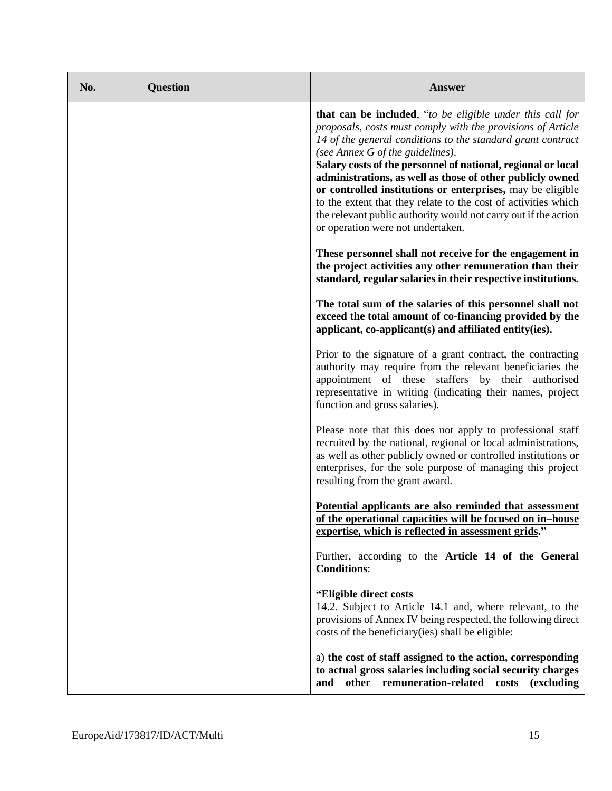| No. | <b>Question</b> | <b>Answer</b>                                                                                                                                                                                                                                                                                                                                                                                                                                                                                                                                                                                    |
|-----|-----------------|--------------------------------------------------------------------------------------------------------------------------------------------------------------------------------------------------------------------------------------------------------------------------------------------------------------------------------------------------------------------------------------------------------------------------------------------------------------------------------------------------------------------------------------------------------------------------------------------------|
|     |                 | that can be included, "to be eligible under this call for<br>proposals, costs must comply with the provisions of Article<br>14 of the general conditions to the standard grant contract<br>(see Annex G of the guidelines).<br>Salary costs of the personnel of national, regional or local<br>administrations, as well as those of other publicly owned<br>or controlled institutions or enterprises, may be eligible<br>to the extent that they relate to the cost of activities which<br>the relevant public authority would not carry out if the action<br>or operation were not undertaken. |
|     |                 | These personnel shall not receive for the engagement in<br>the project activities any other remuneration than their<br>standard, regular salaries in their respective institutions.                                                                                                                                                                                                                                                                                                                                                                                                              |
|     |                 | The total sum of the salaries of this personnel shall not<br>exceed the total amount of co-financing provided by the<br>applicant, co-applicant(s) and affiliated entity(ies).                                                                                                                                                                                                                                                                                                                                                                                                                   |
|     |                 | Prior to the signature of a grant contract, the contracting<br>authority may require from the relevant beneficiaries the<br>appointment of these staffers by their authorised<br>representative in writing (indicating their names, project<br>function and gross salaries).                                                                                                                                                                                                                                                                                                                     |
|     |                 | Please note that this does not apply to professional staff<br>recruited by the national, regional or local administrations,<br>as well as other publicly owned or controlled institutions or<br>enterprises, for the sole purpose of managing this project<br>resulting from the grant award.                                                                                                                                                                                                                                                                                                    |
|     |                 | Potential applicants are also reminded that assessment<br>of the operational capacities will be focused on in-house<br>expertise, which is reflected in assessment grids."                                                                                                                                                                                                                                                                                                                                                                                                                       |
|     |                 | Further, according to the Article 14 of the General<br><b>Conditions:</b>                                                                                                                                                                                                                                                                                                                                                                                                                                                                                                                        |
|     |                 | "Eligible direct costs<br>14.2. Subject to Article 14.1 and, where relevant, to the<br>provisions of Annex IV being respected, the following direct<br>costs of the beneficiary (ies) shall be eligible:                                                                                                                                                                                                                                                                                                                                                                                         |
|     |                 | a) the cost of staff assigned to the action, corresponding<br>to actual gross salaries including social security charges<br>other remuneration-related costs<br>and<br>(excluding)                                                                                                                                                                                                                                                                                                                                                                                                               |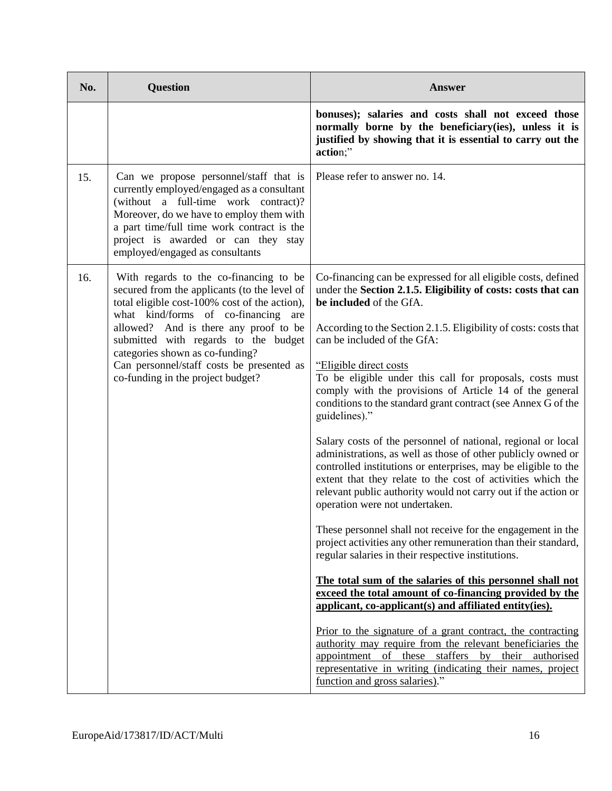| No. | <b>Question</b>                                                                                                                                                                                                                                                                                  | <b>Answer</b>                                                                                                                                                                                                                                                                                                                                                     |
|-----|--------------------------------------------------------------------------------------------------------------------------------------------------------------------------------------------------------------------------------------------------------------------------------------------------|-------------------------------------------------------------------------------------------------------------------------------------------------------------------------------------------------------------------------------------------------------------------------------------------------------------------------------------------------------------------|
|     |                                                                                                                                                                                                                                                                                                  | bonuses); salaries and costs shall not exceed those<br>normally borne by the beneficiary(ies), unless it is<br>justified by showing that it is essential to carry out the<br>action;"                                                                                                                                                                             |
| 15. | Can we propose personnel/staff that is<br>currently employed/engaged as a consultant<br>(without a full-time work contract)?<br>Moreover, do we have to employ them with<br>a part time/full time work contract is the<br>project is awarded or can they stay<br>employed/engaged as consultants | Please refer to answer no. 14.                                                                                                                                                                                                                                                                                                                                    |
| 16. | With regards to the co-financing to be<br>secured from the applicants (to the level of<br>total eligible cost-100% cost of the action),<br>what kind/forms of co-financing<br>are                                                                                                                | Co-financing can be expressed for all eligible costs, defined<br>under the Section 2.1.5. Eligibility of costs: costs that can<br>be included of the GfA.                                                                                                                                                                                                         |
|     | allowed? And is there any proof to be<br>submitted with regards to the budget<br>categories shown as co-funding?<br>Can personnel/staff costs be presented as<br>co-funding in the project budget?                                                                                               | According to the Section 2.1.5. Eligibility of costs: costs that<br>can be included of the GfA:                                                                                                                                                                                                                                                                   |
|     |                                                                                                                                                                                                                                                                                                  | "Eligible direct costs"<br>To be eligible under this call for proposals, costs must<br>comply with the provisions of Article 14 of the general<br>conditions to the standard grant contract (see Annex G of the<br>guidelines)."                                                                                                                                  |
|     |                                                                                                                                                                                                                                                                                                  | Salary costs of the personnel of national, regional or local<br>administrations, as well as those of other publicly owned or<br>controlled institutions or enterprises, may be eligible to the<br>extent that they relate to the cost of activities which the<br>relevant public authority would not carry out if the action or<br>operation were not undertaken. |
|     |                                                                                                                                                                                                                                                                                                  | These personnel shall not receive for the engagement in the<br>project activities any other remuneration than their standard,<br>regular salaries in their respective institutions.                                                                                                                                                                               |
|     |                                                                                                                                                                                                                                                                                                  | The total sum of the salaries of this personnel shall not<br>exceed the total amount of co-financing provided by the<br>applicant, co-applicant(s) and affiliated entity(ies).                                                                                                                                                                                    |
|     |                                                                                                                                                                                                                                                                                                  | Prior to the signature of a grant contract, the contracting<br>authority may require from the relevant beneficiaries the<br>appointment of these staffers<br>by their<br>authorised<br>representative in writing (indicating their names, project<br>function and gross salaries)."                                                                               |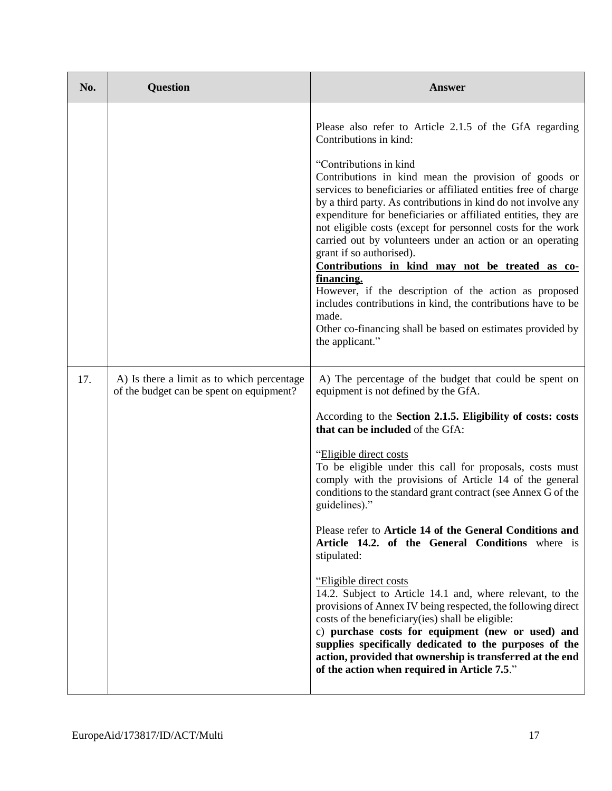| No. | <b>Question</b>                                                                        | Answer                                                                                                                                                                                                                                                                                                                                                                                                                                                                                                                                                                                                                                                                                                                                                                                                                                                                                                                                                                                                        |
|-----|----------------------------------------------------------------------------------------|---------------------------------------------------------------------------------------------------------------------------------------------------------------------------------------------------------------------------------------------------------------------------------------------------------------------------------------------------------------------------------------------------------------------------------------------------------------------------------------------------------------------------------------------------------------------------------------------------------------------------------------------------------------------------------------------------------------------------------------------------------------------------------------------------------------------------------------------------------------------------------------------------------------------------------------------------------------------------------------------------------------|
|     |                                                                                        | Please also refer to Article 2.1.5 of the GfA regarding<br>Contributions in kind:<br>"Contributions in kind<br>Contributions in kind mean the provision of goods or<br>services to beneficiaries or affiliated entities free of charge<br>by a third party. As contributions in kind do not involve any<br>expenditure for beneficiaries or affiliated entities, they are<br>not eligible costs (except for personnel costs for the work<br>carried out by volunteers under an action or an operating<br>grant if so authorised).<br>Contributions in kind may not be treated as co-<br>financing.<br>However, if the description of the action as proposed<br>includes contributions in kind, the contributions have to be<br>made.<br>Other co-financing shall be based on estimates provided by<br>the applicant."                                                                                                                                                                                         |
| 17. | A) Is there a limit as to which percentage<br>of the budget can be spent on equipment? | A) The percentage of the budget that could be spent on<br>equipment is not defined by the GfA.<br>According to the Section 2.1.5. Eligibility of costs: costs<br>that can be included of the GfA:<br>"Eligible direct costs"<br>To be eligible under this call for proposals, costs must<br>comply with the provisions of Article 14 of the general<br>conditions to the standard grant contract (see Annex G of the<br>guidelines)."<br>Please refer to Article 14 of the General Conditions and<br>Article 14.2. of the General Conditions where is<br>stipulated:<br>"Eligible direct costs"<br>14.2. Subject to Article 14.1 and, where relevant, to the<br>provisions of Annex IV being respected, the following direct<br>costs of the beneficiary (ies) shall be eligible:<br>c) purchase costs for equipment (new or used) and<br>supplies specifically dedicated to the purposes of the<br>action, provided that ownership is transferred at the end<br>of the action when required in Article 7.5." |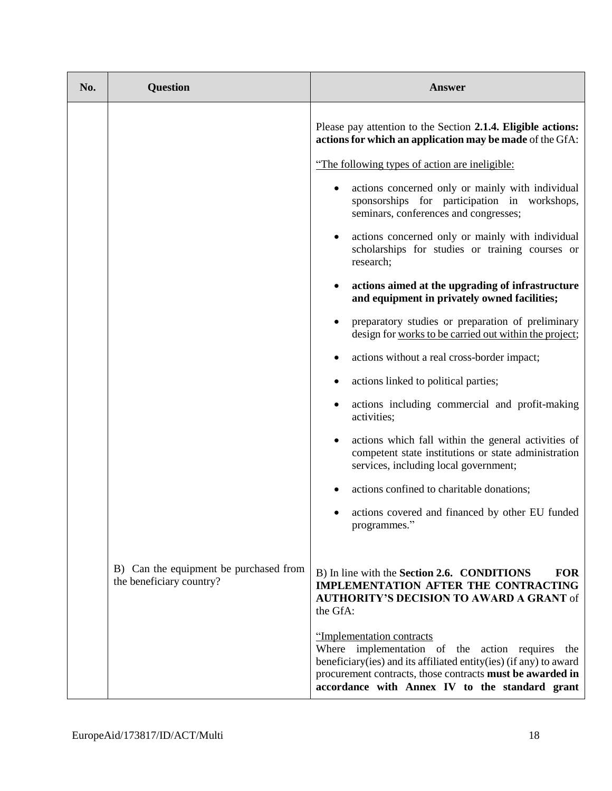| No. | <b>Question</b>                                                    | <b>Answer</b>                                                                                                                                                                                                                                                       |
|-----|--------------------------------------------------------------------|---------------------------------------------------------------------------------------------------------------------------------------------------------------------------------------------------------------------------------------------------------------------|
|     |                                                                    | Please pay attention to the Section 2.1.4. Eligible actions:<br>actions for which an application may be made of the GfA:                                                                                                                                            |
|     |                                                                    | "The following types of action are ineligible:                                                                                                                                                                                                                      |
|     |                                                                    | actions concerned only or mainly with individual<br>sponsorships for participation in workshops,<br>seminars, conferences and congresses;                                                                                                                           |
|     |                                                                    | actions concerned only or mainly with individual<br>scholarships for studies or training courses or<br>research;                                                                                                                                                    |
|     |                                                                    | actions aimed at the upgrading of infrastructure<br>and equipment in privately owned facilities;                                                                                                                                                                    |
|     |                                                                    | preparatory studies or preparation of preliminary<br>design for works to be carried out within the project;                                                                                                                                                         |
|     |                                                                    | actions without a real cross-border impact;                                                                                                                                                                                                                         |
|     |                                                                    | actions linked to political parties;                                                                                                                                                                                                                                |
|     |                                                                    | actions including commercial and profit-making<br>activities;                                                                                                                                                                                                       |
|     |                                                                    | actions which fall within the general activities of<br>competent state institutions or state administration<br>services, including local government;                                                                                                                |
|     |                                                                    | actions confined to charitable donations;                                                                                                                                                                                                                           |
|     |                                                                    | actions covered and financed by other EU funded<br>programmes."                                                                                                                                                                                                     |
|     | B) Can the equipment be purchased from<br>the beneficiary country? | B) In line with the Section 2.6. CONDITIONS<br><b>FOR</b><br><b>IMPLEMENTATION AFTER THE CONTRACTING</b><br><b>AUTHORITY'S DECISION TO AWARD A GRANT of</b><br>the GfA:                                                                                             |
|     |                                                                    | "Implementation contracts<br>Where implementation of the action requires<br>the<br>beneficiary(ies) and its affiliated entity(ies) (if any) to award<br>procurement contracts, those contracts must be awarded in<br>accordance with Annex IV to the standard grant |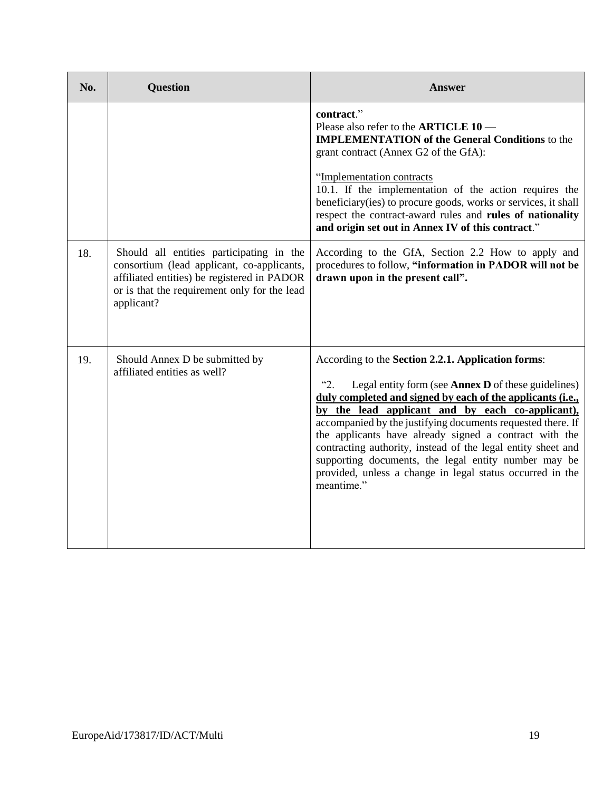| No. | <b>Question</b>                                                                                                                                                                                     | <b>Answer</b>                                                                                                                                                                                                                                                                                                                                                                                                                                                                                                                                                                        |
|-----|-----------------------------------------------------------------------------------------------------------------------------------------------------------------------------------------------------|--------------------------------------------------------------------------------------------------------------------------------------------------------------------------------------------------------------------------------------------------------------------------------------------------------------------------------------------------------------------------------------------------------------------------------------------------------------------------------------------------------------------------------------------------------------------------------------|
|     |                                                                                                                                                                                                     | contract."<br>Please also refer to the <b>ARTICLE 10</b> —<br><b>IMPLEMENTATION of the General Conditions to the</b><br>grant contract (Annex G2 of the GfA):<br>"Implementation contracts<br>10.1. If the implementation of the action requires the<br>beneficiary(ies) to procure goods, works or services, it shall<br>respect the contract-award rules and rules of nationality<br>and origin set out in Annex IV of this contract."                                                                                                                                             |
| 18. | Should all entities participating in the<br>consortium (lead applicant, co-applicants,<br>affiliated entities) be registered in PADOR<br>or is that the requirement only for the lead<br>applicant? | According to the GfA, Section 2.2 How to apply and<br>procedures to follow, "information in PADOR will not be<br>drawn upon in the present call".                                                                                                                                                                                                                                                                                                                                                                                                                                    |
| 19. | Should Annex D be submitted by<br>affiliated entities as well?                                                                                                                                      | According to the Section 2.2.1. Application forms:<br>$\mathfrak{S}_2$ .<br>Legal entity form (see <b>Annex D</b> of these guidelines)<br>duly completed and signed by each of the applicants (i.e.,<br>by the lead applicant and by each co-applicant),<br>accompanied by the justifying documents requested there. If<br>the applicants have already signed a contract with the<br>contracting authority, instead of the legal entity sheet and<br>supporting documents, the legal entity number may be<br>provided, unless a change in legal status occurred in the<br>meantime." |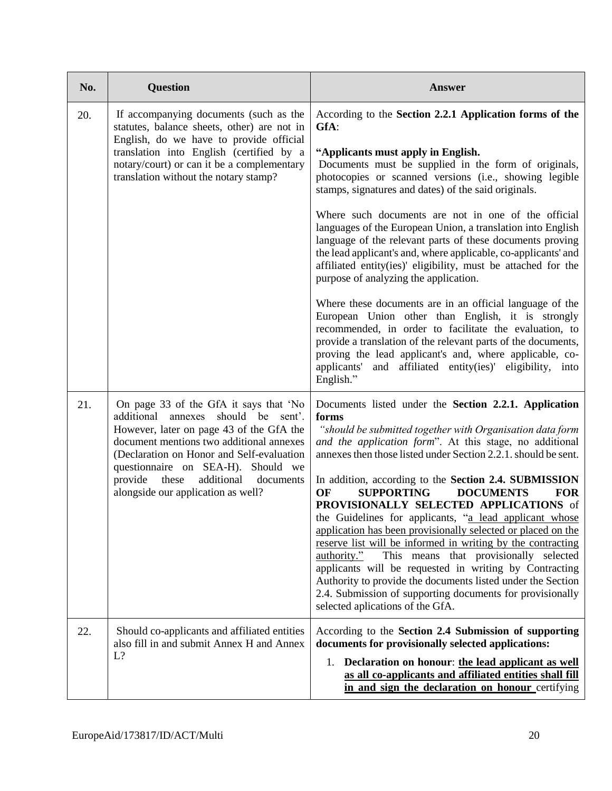| No. | <b>Question</b>                                                                                                                                                                                                                                                                                                                            | <b>Answer</b>                                                                                                                                                                                                                                                                                                                                                                                                                                                                                                                                                                                                                                                                                                                               |
|-----|--------------------------------------------------------------------------------------------------------------------------------------------------------------------------------------------------------------------------------------------------------------------------------------------------------------------------------------------|---------------------------------------------------------------------------------------------------------------------------------------------------------------------------------------------------------------------------------------------------------------------------------------------------------------------------------------------------------------------------------------------------------------------------------------------------------------------------------------------------------------------------------------------------------------------------------------------------------------------------------------------------------------------------------------------------------------------------------------------|
| 20. | If accompanying documents (such as the<br>statutes, balance sheets, other) are not in<br>English, do we have to provide official                                                                                                                                                                                                           | According to the Section 2.2.1 Application forms of the<br>GfA:                                                                                                                                                                                                                                                                                                                                                                                                                                                                                                                                                                                                                                                                             |
|     | translation into English (certified by a<br>notary/court) or can it be a complementary<br>translation without the notary stamp?                                                                                                                                                                                                            | "Applicants must apply in English.<br>Documents must be supplied in the form of originals,<br>photocopies or scanned versions (i.e., showing legible<br>stamps, signatures and dates) of the said originals.                                                                                                                                                                                                                                                                                                                                                                                                                                                                                                                                |
|     |                                                                                                                                                                                                                                                                                                                                            | Where such documents are not in one of the official<br>languages of the European Union, a translation into English<br>language of the relevant parts of these documents proving<br>the lead applicant's and, where applicable, co-applicants' and<br>affiliated entity(ies)' eligibility, must be attached for the<br>purpose of analyzing the application.                                                                                                                                                                                                                                                                                                                                                                                 |
|     |                                                                                                                                                                                                                                                                                                                                            | Where these documents are in an official language of the<br>European Union other than English, it is strongly<br>recommended, in order to facilitate the evaluation, to<br>provide a translation of the relevant parts of the documents,<br>proving the lead applicant's and, where applicable, co-<br>applicants' and affiliated entity(ies)' eligibility, into<br>English."                                                                                                                                                                                                                                                                                                                                                               |
| 21. | On page 33 of the GfA it says that 'No<br>should be sent'.<br>additional annexes<br>However, later on page 43 of the GfA the<br>document mentions two additional annexes<br>(Declaration on Honor and Self-evaluation<br>questionnaire on SEA-H). Should we<br>provide these<br>additional documents<br>alongside our application as well? | Documents listed under the Section 2.2.1. Application<br>forms<br>"should be submitted together with Organisation data form<br>and the application form". At this stage, no additional<br>annexes then those listed under Section 2.2.1. should be sent.<br>In addition, according to the Section 2.4. SUBMISSION<br><b>OF</b><br><b>SUPPORTING</b><br><b>DOCUMENTS</b><br><b>FOR</b><br>PROVISIONALLY SELECTED APPLICATIONS of<br>the Guidelines for applicants, "a lead applicant whose<br>application has been provisionally selected or placed on the<br>reserve list will be informed in writing by the contracting<br>This means that provisionally selected<br>authority."<br>applicants will be requested in writing by Contracting |
|     |                                                                                                                                                                                                                                                                                                                                            | Authority to provide the documents listed under the Section<br>2.4. Submission of supporting documents for provisionally<br>selected aplications of the GfA.                                                                                                                                                                                                                                                                                                                                                                                                                                                                                                                                                                                |
| 22. | Should co-applicants and affiliated entities<br>also fill in and submit Annex H and Annex                                                                                                                                                                                                                                                  | According to the Section 2.4 Submission of supporting<br>documents for provisionally selected applications:                                                                                                                                                                                                                                                                                                                                                                                                                                                                                                                                                                                                                                 |
|     | L?                                                                                                                                                                                                                                                                                                                                         | Declaration on honour: the lead applicant as well<br>1.<br>as all co-applicants and affiliated entities shall fill<br>in and sign the declaration on honour certifying                                                                                                                                                                                                                                                                                                                                                                                                                                                                                                                                                                      |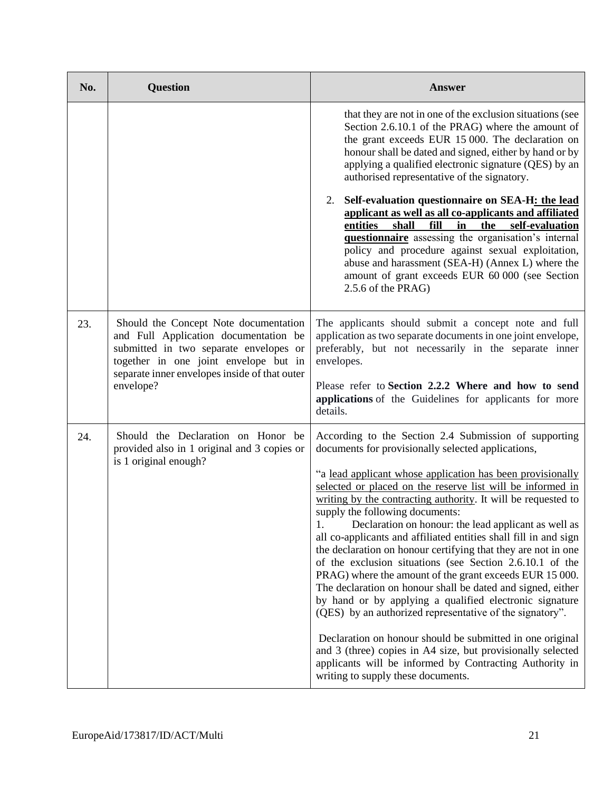| No. | <b>Question</b>                                                                                                                                                                                                                 | <b>Answer</b>                                                                                                                                                                                                                                                                                                                                                                                                                                                                                                                                                                                                                                                                                                                                                                                                                                                                                                                                                                                                                                                                            |
|-----|---------------------------------------------------------------------------------------------------------------------------------------------------------------------------------------------------------------------------------|------------------------------------------------------------------------------------------------------------------------------------------------------------------------------------------------------------------------------------------------------------------------------------------------------------------------------------------------------------------------------------------------------------------------------------------------------------------------------------------------------------------------------------------------------------------------------------------------------------------------------------------------------------------------------------------------------------------------------------------------------------------------------------------------------------------------------------------------------------------------------------------------------------------------------------------------------------------------------------------------------------------------------------------------------------------------------------------|
|     |                                                                                                                                                                                                                                 | that they are not in one of the exclusion situations (see<br>Section 2.6.10.1 of the PRAG) where the amount of<br>the grant exceeds EUR 15 000. The declaration on<br>honour shall be dated and signed, either by hand or by<br>applying a qualified electronic signature (QES) by an<br>authorised representative of the signatory.                                                                                                                                                                                                                                                                                                                                                                                                                                                                                                                                                                                                                                                                                                                                                     |
|     |                                                                                                                                                                                                                                 | Self-evaluation questionnaire on SEA-H: the lead<br>2.<br>applicant as well as all co-applicants and affiliated<br>shall<br>self-evaluation<br>entities<br>fill<br>in<br>the<br>questionnaire assessing the organisation's internal<br>policy and procedure against sexual exploitation,<br>abuse and harassment (SEA-H) (Annex L) where the<br>amount of grant exceeds EUR 60 000 (see Section<br>2.5.6 of the PRAG)                                                                                                                                                                                                                                                                                                                                                                                                                                                                                                                                                                                                                                                                    |
| 23. | Should the Concept Note documentation<br>and Full Application documentation be<br>submitted in two separate envelopes or<br>together in one joint envelope but in<br>separate inner envelopes inside of that outer<br>envelope? | The applicants should submit a concept note and full<br>application as two separate documents in one joint envelope,<br>preferably, but not necessarily in the separate inner<br>envelopes.<br>Please refer to Section 2.2.2 Where and how to send<br>applications of the Guidelines for applicants for more<br>details.                                                                                                                                                                                                                                                                                                                                                                                                                                                                                                                                                                                                                                                                                                                                                                 |
| 24. | Should the Declaration on Honor be<br>provided also in 1 original and 3 copies or<br>is 1 original enough?                                                                                                                      | According to the Section 2.4 Submission of supporting<br>documents for provisionally selected applications,<br>"a lead applicant whose application has been provisionally<br>selected or placed on the reserve list will be informed in<br>writing by the contracting authority. It will be requested to<br>supply the following documents:<br>Declaration on honour: the lead applicant as well as<br>1.<br>all co-applicants and affiliated entities shall fill in and sign<br>the declaration on honour certifying that they are not in one<br>of the exclusion situations (see Section 2.6.10.1 of the<br>PRAG) where the amount of the grant exceeds EUR 15 000.<br>The declaration on honour shall be dated and signed, either<br>by hand or by applying a qualified electronic signature<br>(QES) by an authorized representative of the signatory".<br>Declaration on honour should be submitted in one original<br>and 3 (three) copies in A4 size, but provisionally selected<br>applicants will be informed by Contracting Authority in<br>writing to supply these documents. |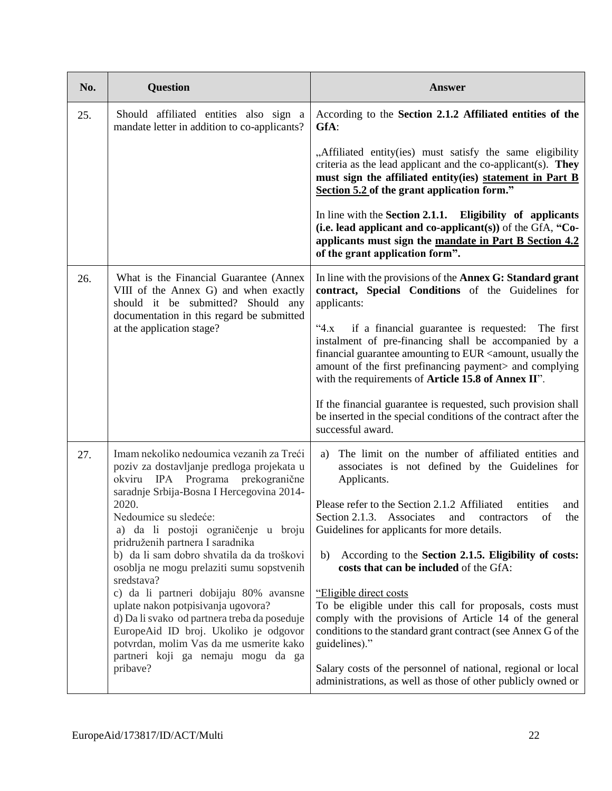| No. | <b>Question</b>                                                                                                                                                                                                                                                                                                                                                                                                                                                                                                                                                                                                                                                       | <b>Answer</b>                                                                                                                                                                                                                                                                                                                                                                                                                                                                                                                                                                                                                                                                                                                                                                            |
|-----|-----------------------------------------------------------------------------------------------------------------------------------------------------------------------------------------------------------------------------------------------------------------------------------------------------------------------------------------------------------------------------------------------------------------------------------------------------------------------------------------------------------------------------------------------------------------------------------------------------------------------------------------------------------------------|------------------------------------------------------------------------------------------------------------------------------------------------------------------------------------------------------------------------------------------------------------------------------------------------------------------------------------------------------------------------------------------------------------------------------------------------------------------------------------------------------------------------------------------------------------------------------------------------------------------------------------------------------------------------------------------------------------------------------------------------------------------------------------------|
| 25. | Should affiliated entities also sign a<br>mandate letter in addition to co-applicants?                                                                                                                                                                                                                                                                                                                                                                                                                                                                                                                                                                                | According to the Section 2.1.2 Affiliated entities of the<br>GfA:                                                                                                                                                                                                                                                                                                                                                                                                                                                                                                                                                                                                                                                                                                                        |
|     |                                                                                                                                                                                                                                                                                                                                                                                                                                                                                                                                                                                                                                                                       | "Affiliated entity(ies) must satisfy the same eligibility<br>criteria as the lead applicant and the co-applicant(s). They<br>must sign the affiliated entity(ies) statement in Part B<br>Section 5.2 of the grant application form."                                                                                                                                                                                                                                                                                                                                                                                                                                                                                                                                                     |
|     |                                                                                                                                                                                                                                                                                                                                                                                                                                                                                                                                                                                                                                                                       | In line with the Section 2.1.1. Eligibility of applicants<br>(i.e. lead applicant and co-applicant(s)) of the GfA, "Co-<br>applicants must sign the mandate in Part B Section 4.2<br>of the grant application form".                                                                                                                                                                                                                                                                                                                                                                                                                                                                                                                                                                     |
| 26. | What is the Financial Guarantee (Annex<br>VIII of the Annex G) and when exactly<br>should it be submitted? Should any                                                                                                                                                                                                                                                                                                                                                                                                                                                                                                                                                 | In line with the provisions of the Annex G: Standard grant<br>contract, Special Conditions of the Guidelines for<br>applicants:                                                                                                                                                                                                                                                                                                                                                                                                                                                                                                                                                                                                                                                          |
|     | documentation in this regard be submitted<br>at the application stage?                                                                                                                                                                                                                                                                                                                                                                                                                                                                                                                                                                                                | if a financial guarantee is requested: The first<br>$4.8^{\circ}$<br>instalment of pre-financing shall be accompanied by a<br>financial guarantee amounting to EUR <amount, the<br="" usually="">amount of the first prefinancing payment&gt; and complying<br/>with the requirements of Article 15.8 of Annex II".</amount,>                                                                                                                                                                                                                                                                                                                                                                                                                                                            |
|     |                                                                                                                                                                                                                                                                                                                                                                                                                                                                                                                                                                                                                                                                       | If the financial guarantee is requested, such provision shall<br>be inserted in the special conditions of the contract after the<br>successful award.                                                                                                                                                                                                                                                                                                                                                                                                                                                                                                                                                                                                                                    |
| 27. | Imam nekoliko nedoumica vezanih za Treći<br>poziv za dostavljanje predloga projekata u<br>okviru IPA Programa prekogranične<br>saradnje Srbija-Bosna I Hercegovina 2014-<br>2020.<br>Nedoumice su sledeće:<br>a) da li postoji ograničenje u broju<br>pridruženih partnera I saradnika<br>b) da li sam dobro shvatila da da troškovi<br>osoblja ne mogu prelaziti sumu sopstvenih<br>sredstava?<br>c) da li partneri dobijaju 80% avansne<br>uplate nakon potpisivanja ugovora?<br>d) Da li svako od partnera treba da poseduje<br>EuropeAid ID broj. Ukoliko je odgovor<br>potvrdan, molim Vas da me usmerite kako<br>partneri koji ga nemaju mogu da ga<br>pribave? | The limit on the number of affiliated entities and<br>a)<br>associates is not defined by the Guidelines for<br>Applicants.<br>Please refer to the Section 2.1.2 Affiliated<br>entities<br>and<br>Section 2.1.3. Associates<br>of<br>the<br>and<br>contractors<br>Guidelines for applicants for more details.<br>According to the Section 2.1.5. Eligibility of costs:<br>b)<br>costs that can be included of the GfA:<br>"Eligible direct costs<br>To be eligible under this call for proposals, costs must<br>comply with the provisions of Article 14 of the general<br>conditions to the standard grant contract (see Annex G of the<br>guidelines)."<br>Salary costs of the personnel of national, regional or local<br>administrations, as well as those of other publicly owned or |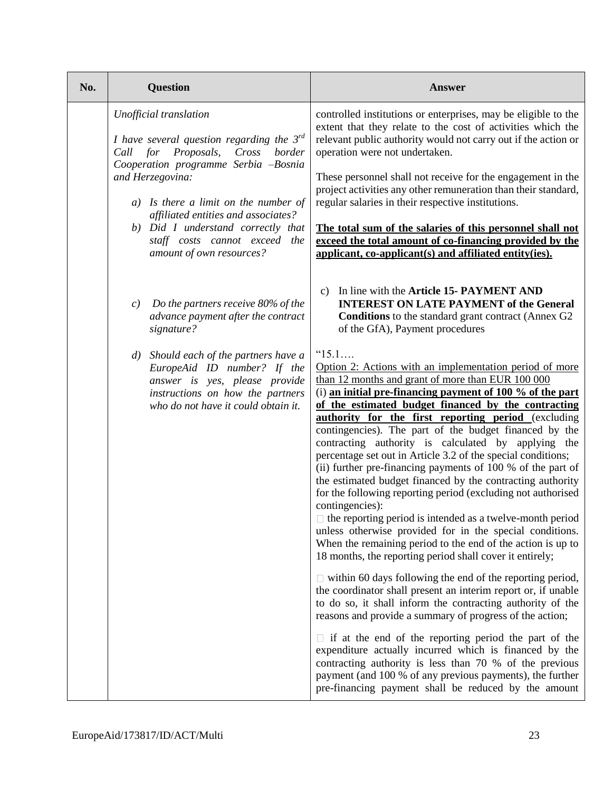| No. | <b>Question</b>                                                                                                                                                                                                                                                                                                                         | <b>Answer</b>                                                                                                                                                                                                                                                                                                                                                                                                                                                                                                                                                                                                                                                                                                                                                                                                                                                                                                                                                                                                                                                                                                                                                                                                                                                                                                                                                                                                                                                                                                                                                                                                                                                                                                                                                                                              |
|-----|-----------------------------------------------------------------------------------------------------------------------------------------------------------------------------------------------------------------------------------------------------------------------------------------------------------------------------------------|------------------------------------------------------------------------------------------------------------------------------------------------------------------------------------------------------------------------------------------------------------------------------------------------------------------------------------------------------------------------------------------------------------------------------------------------------------------------------------------------------------------------------------------------------------------------------------------------------------------------------------------------------------------------------------------------------------------------------------------------------------------------------------------------------------------------------------------------------------------------------------------------------------------------------------------------------------------------------------------------------------------------------------------------------------------------------------------------------------------------------------------------------------------------------------------------------------------------------------------------------------------------------------------------------------------------------------------------------------------------------------------------------------------------------------------------------------------------------------------------------------------------------------------------------------------------------------------------------------------------------------------------------------------------------------------------------------------------------------------------------------------------------------------------------------|
|     | Unofficial translation<br>I have several question regarding the $3^{rd}$<br>Cross<br>Call for Proposals,<br>border<br>Cooperation programme Serbia -Bosnia<br>and Herzegovina:<br>Is there a limit on the number of<br>a)<br>affiliated entities and associates?<br>b) Did I understand correctly that<br>staff costs cannot exceed the | controlled institutions or enterprises, may be eligible to the<br>extent that they relate to the cost of activities which the<br>relevant public authority would not carry out if the action or<br>operation were not undertaken.<br>These personnel shall not receive for the engagement in the<br>project activities any other remuneration than their standard,<br>regular salaries in their respective institutions.<br>The total sum of the salaries of this personnel shall not<br>exceed the total amount of co-financing provided by the                                                                                                                                                                                                                                                                                                                                                                                                                                                                                                                                                                                                                                                                                                                                                                                                                                                                                                                                                                                                                                                                                                                                                                                                                                                           |
|     | amount of own resources?<br>Do the partners receive 80% of the<br>c)<br>advance payment after the contract<br>signature?<br>Should each of the partners have a<br>$\left( d\right)$<br>EuropeAid ID number? If the<br>answer is yes, please provide<br>instructions on how the partners<br>who do not have it could obtain it.          | applicant, co-applicant(s) and affiliated entity(ies).<br>c) In line with the Article 15- PAYMENT AND<br><b>INTEREST ON LATE PAYMENT of the General</b><br><b>Conditions</b> to the standard grant contract (Annex G2<br>of the GfA), Payment procedures<br>"15.1<br>Option 2: Actions with an implementation period of more<br>than 12 months and grant of more than EUR 100 000<br>$(i)$ an initial pre-financing payment of 100 % of the part<br>of the estimated budget financed by the contracting<br><b>authority for the first reporting period</b> (excluding<br>contingencies). The part of the budget financed by the<br>contracting authority is calculated by applying the<br>percentage set out in Article 3.2 of the special conditions;<br>(ii) further pre-financing payments of 100 % of the part of<br>the estimated budget financed by the contracting authority<br>for the following reporting period (excluding not authorised<br>contingencies):<br>$\Box$ the reporting period is intended as a twelve-month period<br>unless otherwise provided for in the special conditions.<br>When the remaining period to the end of the action is up to<br>18 months, the reporting period shall cover it entirely;<br>$\Box$ within 60 days following the end of the reporting period,<br>the coordinator shall present an interim report or, if unable<br>to do so, it shall inform the contracting authority of the<br>reasons and provide a summary of progress of the action;<br>$\Box$ if at the end of the reporting period the part of the<br>expenditure actually incurred which is financed by the<br>contracting authority is less than 70 % of the previous<br>payment (and 100 % of any previous payments), the further<br>pre-financing payment shall be reduced by the amount |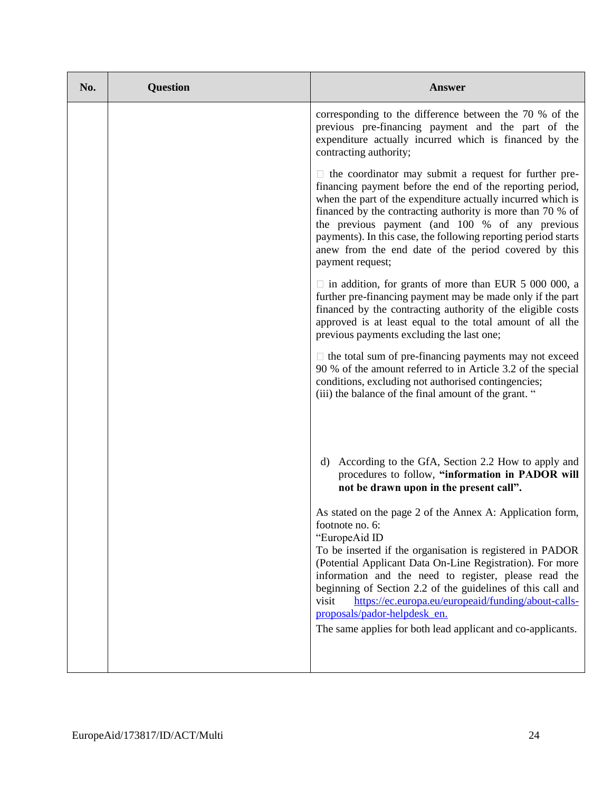| No. | <b>Question</b> | <b>Answer</b>                                                                                                                                                                                                                                                                                                                                                                                                                                                                                                  |
|-----|-----------------|----------------------------------------------------------------------------------------------------------------------------------------------------------------------------------------------------------------------------------------------------------------------------------------------------------------------------------------------------------------------------------------------------------------------------------------------------------------------------------------------------------------|
|     |                 | corresponding to the difference between the 70 % of the<br>previous pre-financing payment and the part of the<br>expenditure actually incurred which is financed by the<br>contracting authority;                                                                                                                                                                                                                                                                                                              |
|     |                 | $\Box$ the coordinator may submit a request for further pre-<br>financing payment before the end of the reporting period,<br>when the part of the expenditure actually incurred which is<br>financed by the contracting authority is more than 70 % of<br>the previous payment (and 100 % of any previous<br>payments). In this case, the following reporting period starts<br>anew from the end date of the period covered by this<br>payment request;                                                        |
|     |                 | $\Box$ in addition, for grants of more than EUR 5 000 000, a<br>further pre-financing payment may be made only if the part<br>financed by the contracting authority of the eligible costs<br>approved is at least equal to the total amount of all the<br>previous payments excluding the last one;                                                                                                                                                                                                            |
|     |                 | $\Box$ the total sum of pre-financing payments may not exceed<br>90 % of the amount referred to in Article 3.2 of the special<br>conditions, excluding not authorised contingencies;<br>(iii) the balance of the final amount of the grant. "                                                                                                                                                                                                                                                                  |
|     |                 | According to the GfA, Section 2.2 How to apply and<br>d)<br>procedures to follow, "information in PADOR will<br>not be drawn upon in the present call".                                                                                                                                                                                                                                                                                                                                                        |
|     |                 | As stated on the page 2 of the Annex A: Application form,<br>footnote no. 6:<br>"EuropeAid ID<br>To be inserted if the organisation is registered in PADOR<br>(Potential Applicant Data On-Line Registration). For more<br>information and the need to register, please read the<br>beginning of Section 2.2 of the guidelines of this call and<br>visit<br>https://ec.europa.eu/europeaid/funding/about-calls-<br>proposals/pador-helpdesk en.<br>The same applies for both lead applicant and co-applicants. |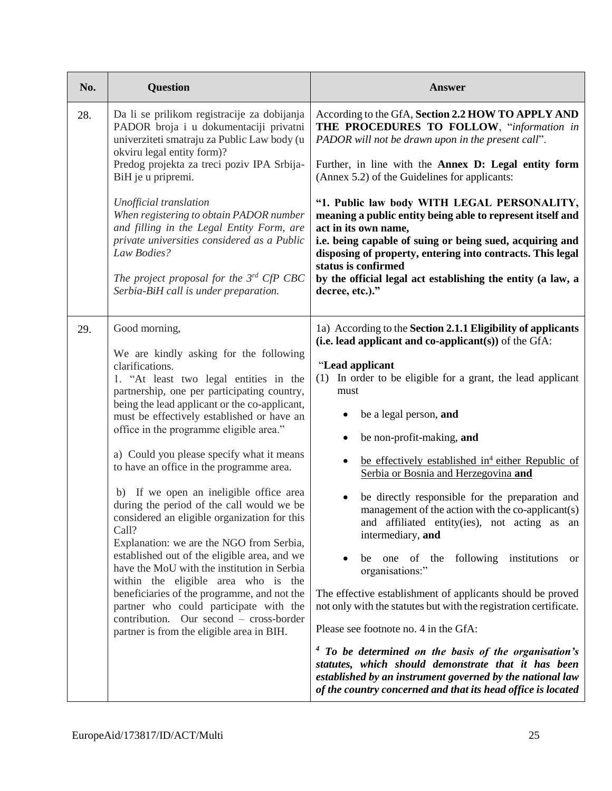| No. | <b>Question</b>                                                                                                                                                                                                                                                                                                                                                                                                                                                                                                                                                                                                                                                                                                                                                                                                                                                                                                            | <b>Answer</b>                                                                                                                                                                                                                                                                                                                                                                                                                                                                                                                                                                                                                                                                                                                                                                                                   |
|-----|----------------------------------------------------------------------------------------------------------------------------------------------------------------------------------------------------------------------------------------------------------------------------------------------------------------------------------------------------------------------------------------------------------------------------------------------------------------------------------------------------------------------------------------------------------------------------------------------------------------------------------------------------------------------------------------------------------------------------------------------------------------------------------------------------------------------------------------------------------------------------------------------------------------------------|-----------------------------------------------------------------------------------------------------------------------------------------------------------------------------------------------------------------------------------------------------------------------------------------------------------------------------------------------------------------------------------------------------------------------------------------------------------------------------------------------------------------------------------------------------------------------------------------------------------------------------------------------------------------------------------------------------------------------------------------------------------------------------------------------------------------|
| 28. | Da li se prilikom registracije za dobijanja<br>PADOR broja i u dokumentaciji privatni<br>univerziteti smatraju za Public Law body (u<br>okviru legal entity form)?                                                                                                                                                                                                                                                                                                                                                                                                                                                                                                                                                                                                                                                                                                                                                         | According to the GfA, Section 2.2 HOW TO APPLY AND<br>THE PROCEDURES TO FOLLOW, "information in<br>PADOR will not be drawn upon in the present call".                                                                                                                                                                                                                                                                                                                                                                                                                                                                                                                                                                                                                                                           |
|     | Predog projekta za treci poziv IPA Srbija-<br>BiH je u pripremi.                                                                                                                                                                                                                                                                                                                                                                                                                                                                                                                                                                                                                                                                                                                                                                                                                                                           | Further, in line with the Annex D: Legal entity form<br>(Annex 5.2) of the Guidelines for applicants:                                                                                                                                                                                                                                                                                                                                                                                                                                                                                                                                                                                                                                                                                                           |
|     | Unofficial translation<br>When registering to obtain PADOR number<br>and filling in the Legal Entity Form, are<br>private universities considered as a Public<br>Law Bodies?                                                                                                                                                                                                                                                                                                                                                                                                                                                                                                                                                                                                                                                                                                                                               | "1. Public law body WITH LEGAL PERSONALITY,<br>meaning a public entity being able to represent itself and<br>act in its own name,<br>i.e. being capable of suing or being sued, acquiring and<br>disposing of property, entering into contracts. This legal                                                                                                                                                                                                                                                                                                                                                                                                                                                                                                                                                     |
|     | The project proposal for the $3^{rd}$ CfP CBC<br>Serbia-BiH call is under preparation.                                                                                                                                                                                                                                                                                                                                                                                                                                                                                                                                                                                                                                                                                                                                                                                                                                     | status is confirmed<br>by the official legal act establishing the entity (a law, a<br>decree, etc.)."                                                                                                                                                                                                                                                                                                                                                                                                                                                                                                                                                                                                                                                                                                           |
| 29. | Good morning,<br>We are kindly asking for the following<br>clarifications.<br>1. "At least two legal entities in the<br>partnership, one per participating country,<br>being the lead applicant or the co-applicant,<br>must be effectively established or have an<br>office in the programme eligible area."<br>a) Could you please specify what it means<br>to have an office in the programme area.<br>b) If we open an ineligible office area<br>during the period of the call would we be<br>considered an eligible organization for this<br>Call?<br>Explanation: we are the NGO from Serbia,<br>established out of the eligible area, and we<br>have the MoU with the institution in Serbia<br>within the eligible area who is the<br>beneficiaries of the programme, and not the<br>partner who could participate with the<br>contribution. Our second – cross-border<br>partner is from the eligible area in BIH. | 1a) According to the Section 2.1.1 Eligibility of applicants<br>(i.e. lead applicant and co-applicant(s)) of the $GfA$ :<br>"Lead applicant<br>In order to be eligible for a grant, the lead applicant<br>(1)<br>must<br>be a legal person, and<br>be non-profit-making, and<br>be effectively established in <sup>4</sup> either Republic of<br>Serbia or Bosnia and Herzegovina and<br>be directly responsible for the preparation and<br>management of the action with the co-applicant(s)<br>and affiliated entity(ies), not acting as an<br>intermediary, and<br>be one of the following institutions<br>or<br>organisations:"<br>The effective establishment of applicants should be proved<br>not only with the statutes but with the registration certificate.<br>Please see footnote no. 4 in the GfA: |
|     |                                                                                                                                                                                                                                                                                                                                                                                                                                                                                                                                                                                                                                                                                                                                                                                                                                                                                                                            | $4$ To be determined on the basis of the organisation's<br>statutes, which should demonstrate that it has been<br>established by an instrument governed by the national law<br>of the country concerned and that its head office is located                                                                                                                                                                                                                                                                                                                                                                                                                                                                                                                                                                     |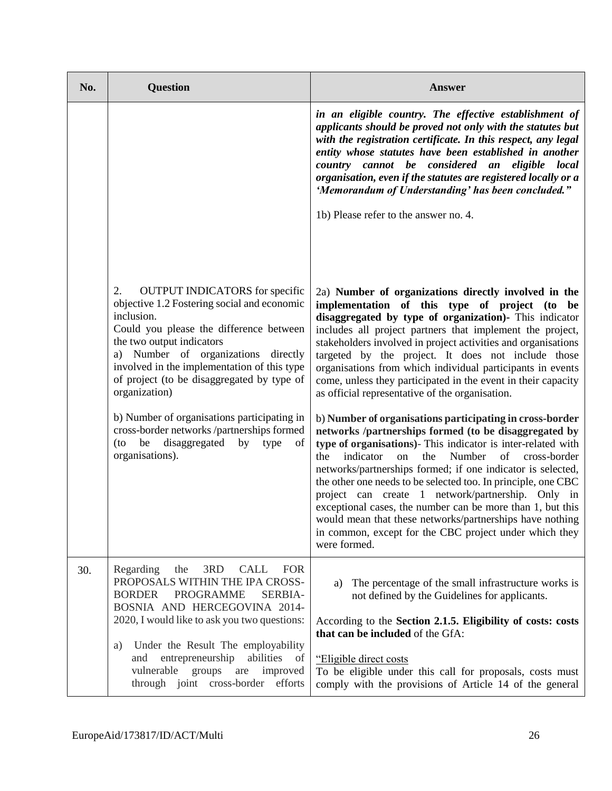| No. | <b>Question</b>                                                                                                                                                                                                                                                                                                                                                                       | <b>Answer</b>                                                                                                                                                                                                                                                                                                                                                                                                                                                                                                                                                                                                                               |
|-----|---------------------------------------------------------------------------------------------------------------------------------------------------------------------------------------------------------------------------------------------------------------------------------------------------------------------------------------------------------------------------------------|---------------------------------------------------------------------------------------------------------------------------------------------------------------------------------------------------------------------------------------------------------------------------------------------------------------------------------------------------------------------------------------------------------------------------------------------------------------------------------------------------------------------------------------------------------------------------------------------------------------------------------------------|
|     |                                                                                                                                                                                                                                                                                                                                                                                       | in an eligible country. The effective establishment of<br>applicants should be proved not only with the statutes but<br>with the registration certificate. In this respect, any legal<br>entity whose statutes have been established in another<br>country cannot be considered an eligible local<br>organisation, even if the statutes are registered locally or a<br>'Memorandum of Understanding' has been concluded."<br>1b) Please refer to the answer no. 4.                                                                                                                                                                          |
|     | <b>OUTPUT INDICATORS</b> for specific<br>2.<br>objective 1.2 Fostering social and economic<br>inclusion.<br>Could you please the difference between<br>the two output indicators<br>a) Number of organizations directly<br>involved in the implementation of this type<br>of project (to be disaggregated by type of<br>organization)                                                 | 2a) Number of organizations directly involved in the<br>implementation of this type of project (to be<br>disaggregated by type of organization)- This indicator<br>includes all project partners that implement the project,<br>stakeholders involved in project activities and organisations<br>targeted by the project. It does not include those<br>organisations from which individual participants in events<br>come, unless they participated in the event in their capacity<br>as official representative of the organisation.                                                                                                       |
|     | b) Number of organisations participating in<br>cross-border networks /partnerships formed<br>disaggregated<br>be<br>by<br>type<br>$($ to<br>of<br>organisations).                                                                                                                                                                                                                     | b) Number of organisations participating in cross-border<br>networks /partnerships formed (to be disaggregated by<br>type of organisations)- This indicator is inter-related with<br>indicator<br>Number<br>of<br>the<br>the<br>cross-border<br>on<br>networks/partnerships formed; if one indicator is selected,<br>the other one needs to be selected too. In principle, one CBC<br>project can create 1 network/partnership. Only in<br>exceptional cases, the number can be more than 1, but this<br>would mean that these networks/partnerships have nothing<br>in common, except for the CBC project under which they<br>were formed. |
| 30. | Regarding<br>3RD<br>CALL<br><b>FOR</b><br>the<br>PROPOSALS WITHIN THE IPA CROSS-<br><b>BORDER</b><br><b>PROGRAMME</b><br>SERBIA-<br>BOSNIA AND HERCEGOVINA 2014-<br>2020, I would like to ask you two questions:<br>Under the Result The employability<br>a)<br>entrepreneurship<br>abilities of<br>and<br>vulnerable groups<br>improved<br>are<br>through joint cross-border efforts | The percentage of the small infrastructure works is<br>a)<br>not defined by the Guidelines for applicants.<br>According to the Section 2.1.5. Eligibility of costs: costs<br>that can be included of the GfA:<br>"Eligible direct costs<br>To be eligible under this call for proposals, costs must<br>comply with the provisions of Article 14 of the general                                                                                                                                                                                                                                                                              |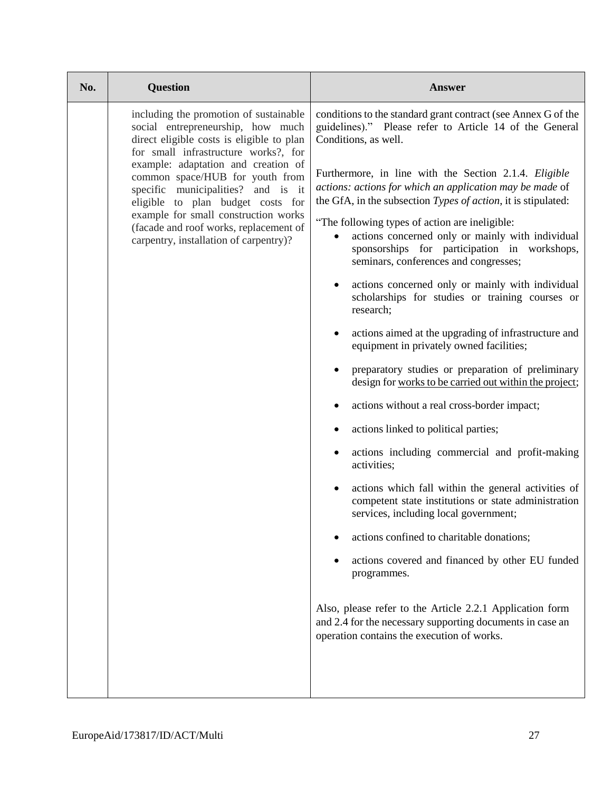| No. | <b>Question</b>                                                                                                                                                                                                                                                               | <b>Answer</b>                                                                                                                                                                               |
|-----|-------------------------------------------------------------------------------------------------------------------------------------------------------------------------------------------------------------------------------------------------------------------------------|---------------------------------------------------------------------------------------------------------------------------------------------------------------------------------------------|
|     | including the promotion of sustainable<br>social entrepreneurship, how much<br>direct eligible costs is eligible to plan<br>for small infrastructure works?, for                                                                                                              | conditions to the standard grant contract (see Annex G of the<br>guidelines)." Please refer to Article 14 of the General<br>Conditions, as well.                                            |
|     | example: adaptation and creation of<br>common space/HUB for youth from<br>specific municipalities? and is it<br>eligible to plan budget costs for<br>example for small construction works<br>(facade and roof works, replacement of<br>carpentry, installation of carpentry)? | Furthermore, in line with the Section 2.1.4. Eligible<br>actions: actions for which an application may be made of<br>the GfA, in the subsection Types of action, it is stipulated:          |
|     |                                                                                                                                                                                                                                                                               | "The following types of action are ineligible:<br>actions concerned only or mainly with individual<br>sponsorships for participation in workshops,<br>seminars, conferences and congresses; |
|     |                                                                                                                                                                                                                                                                               | actions concerned only or mainly with individual<br>scholarships for studies or training courses or<br>research;                                                                            |
|     |                                                                                                                                                                                                                                                                               | actions aimed at the upgrading of infrastructure and<br>equipment in privately owned facilities;                                                                                            |
|     |                                                                                                                                                                                                                                                                               | preparatory studies or preparation of preliminary<br>design for works to be carried out within the project;                                                                                 |
|     |                                                                                                                                                                                                                                                                               | actions without a real cross-border impact;                                                                                                                                                 |
|     |                                                                                                                                                                                                                                                                               | actions linked to political parties;                                                                                                                                                        |
|     |                                                                                                                                                                                                                                                                               | actions including commercial and profit-making<br>activities;                                                                                                                               |
|     |                                                                                                                                                                                                                                                                               | actions which fall within the general activities of<br>competent state institutions or state administration<br>services, including local government;                                        |
|     |                                                                                                                                                                                                                                                                               | actions confined to charitable donations;                                                                                                                                                   |
|     |                                                                                                                                                                                                                                                                               | actions covered and financed by other EU funded<br>programmes.                                                                                                                              |
|     |                                                                                                                                                                                                                                                                               | Also, please refer to the Article 2.2.1 Application form<br>and 2.4 for the necessary supporting documents in case an<br>operation contains the execution of works.                         |
|     |                                                                                                                                                                                                                                                                               |                                                                                                                                                                                             |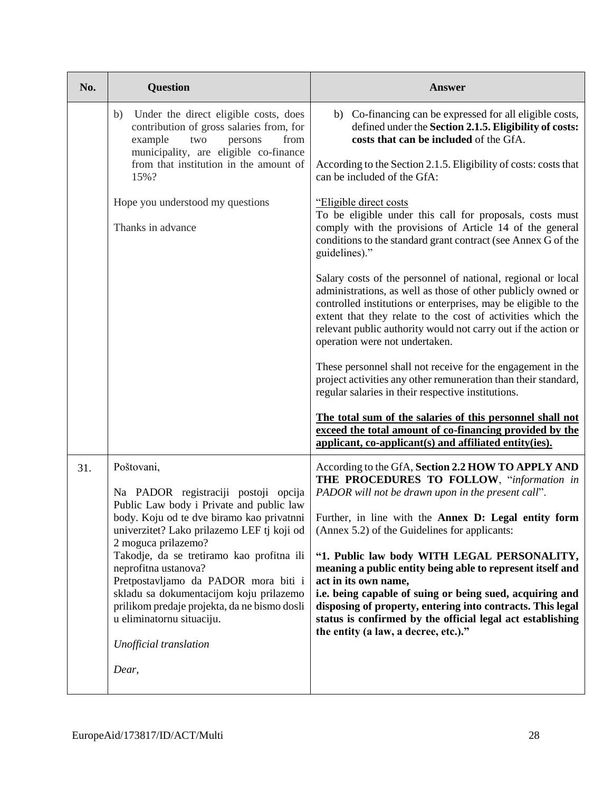| No. | <b>Question</b>                                                                                                                                                                                                                                                                                                                                                                                                                                                                 | <b>Answer</b>                                                                                                                                                                                                                                                                                                                                                     |
|-----|---------------------------------------------------------------------------------------------------------------------------------------------------------------------------------------------------------------------------------------------------------------------------------------------------------------------------------------------------------------------------------------------------------------------------------------------------------------------------------|-------------------------------------------------------------------------------------------------------------------------------------------------------------------------------------------------------------------------------------------------------------------------------------------------------------------------------------------------------------------|
|     | b) Under the direct eligible costs, does<br>contribution of gross salaries from, for<br>example<br>two<br>from<br>persons<br>municipality, are eligible co-finance<br>from that institution in the amount of<br>15%?                                                                                                                                                                                                                                                            | b) Co-financing can be expressed for all eligible costs,<br>defined under the Section 2.1.5. Eligibility of costs:<br>costs that can be included of the GfA.                                                                                                                                                                                                      |
|     |                                                                                                                                                                                                                                                                                                                                                                                                                                                                                 | According to the Section 2.1.5. Eligibility of costs: costs that<br>can be included of the GfA:                                                                                                                                                                                                                                                                   |
|     | Hope you understood my questions<br>Thanks in advance                                                                                                                                                                                                                                                                                                                                                                                                                           | "Eligible direct costs<br>To be eligible under this call for proposals, costs must<br>comply with the provisions of Article 14 of the general<br>conditions to the standard grant contract (see Annex G of the<br>guidelines)."                                                                                                                                   |
|     |                                                                                                                                                                                                                                                                                                                                                                                                                                                                                 | Salary costs of the personnel of national, regional or local<br>administrations, as well as those of other publicly owned or<br>controlled institutions or enterprises, may be eligible to the<br>extent that they relate to the cost of activities which the<br>relevant public authority would not carry out if the action or<br>operation were not undertaken. |
|     |                                                                                                                                                                                                                                                                                                                                                                                                                                                                                 | These personnel shall not receive for the engagement in the<br>project activities any other remuneration than their standard,<br>regular salaries in their respective institutions.                                                                                                                                                                               |
|     |                                                                                                                                                                                                                                                                                                                                                                                                                                                                                 | The total sum of the salaries of this personnel shall not<br>exceed the total amount of co-financing provided by the<br>applicant, co-applicant(s) and affiliated entity(ies).                                                                                                                                                                                    |
| 31. | Poštovani,<br>Na PADOR registraciji postoji opcija<br>Public Law body i Private and public law<br>body. Koju od te dve biramo kao privatnni<br>univerzitet? Lako prilazemo LEF tj koji od<br>2 moguca prilazemo?<br>Takodje, da se tretiramo kao profitna ili<br>neprofitna ustanova?<br>Pretpostavljamo da PADOR mora biti i<br>skladu sa dokumentacijom koju prilazemo<br>prilikom predaje projekta, da ne bismo dosli<br>u eliminatornu situaciju.<br>Unofficial translation | According to the GfA, Section 2.2 HOW TO APPLY AND<br>THE PROCEDURES TO FOLLOW, "information in<br>PADOR will not be drawn upon in the present call".                                                                                                                                                                                                             |
|     |                                                                                                                                                                                                                                                                                                                                                                                                                                                                                 | Further, in line with the Annex D: Legal entity form<br>(Annex 5.2) of the Guidelines for applicants:                                                                                                                                                                                                                                                             |
|     |                                                                                                                                                                                                                                                                                                                                                                                                                                                                                 | "1. Public law body WITH LEGAL PERSONALITY,<br>meaning a public entity being able to represent itself and<br>act in its own name,<br>i.e. being capable of suing or being sued, acquiring and                                                                                                                                                                     |
|     |                                                                                                                                                                                                                                                                                                                                                                                                                                                                                 | disposing of property, entering into contracts. This legal<br>status is confirmed by the official legal act establishing<br>the entity (a law, a decree, etc.)."                                                                                                                                                                                                  |
|     | Dear,                                                                                                                                                                                                                                                                                                                                                                                                                                                                           |                                                                                                                                                                                                                                                                                                                                                                   |